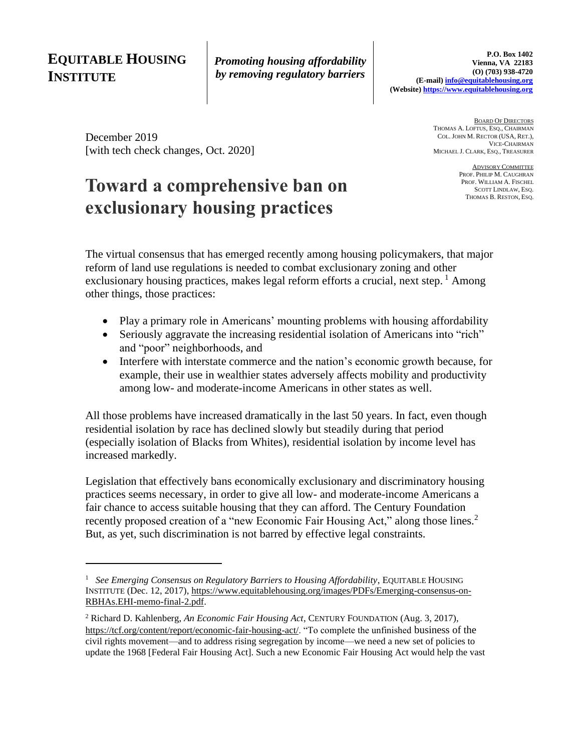# **EQUITABLE HOUSING INSTITUTE**

*Promoting housing affordability by removing regulatory barriers*

December 2019 [with tech check changes, Oct. 2020]

# **Toward a comprehensive ban on exclusionary housing practices**

BOARD OF DIRECTORS THOMAS A. LOFTUS, ESQ., CHAIRMAN COL. JOHN M. RECTOR (USA, RET.), VICE-CHAIRMAN MICHAEL J. CLARK, ESQ., TREASURER

> ADVISORY COMMITTEE PROF. PHILIP M. CAUGHRAN PROF. WILLIAM A. FISCHEL SCOTT LINDLAW, ESQ. THOMAS B. RESTON, ESQ.

The virtual consensus that has emerged recently among housing policymakers, that major reform of land use regulations is needed to combat exclusionary zoning and other exclusionary housing practices, makes legal reform efforts a crucial, next step.  $\frac{1}{2}$  Among other things, those practices:

- Play a primary role in Americans' mounting problems with housing affordability
- Seriously aggravate the increasing residential isolation of Americans into "rich" and "poor" neighborhoods, and
- Interfere with interstate commerce and the nation's economic growth because, for example, their use in wealthier states adversely affects mobility and productivity among low- and moderate-income Americans in other states as well.

All those problems have increased dramatically in the last 50 years. In fact, even though residential isolation by race has declined slowly but steadily during that period (especially isolation of Blacks from Whites), residential isolation by income level has increased markedly.

Legislation that effectively bans economically exclusionary and discriminatory housing practices seems necessary, in order to give all low- and moderate-income Americans a fair chance to access suitable housing that they can afford. The Century Foundation recently proposed creation of a "new Economic Fair Housing Act," along those lines.<sup>2</sup> But, as yet, such discrimination is not barred by effective legal constraints.

<sup>&</sup>lt;sup>1</sup> See Emerging Consensus on Regulatory Barriers to Housing Affordability, EQUITABLE HOUSING INSTITUTE (Dec. 12, 2017), [https://www.equitablehousing.org/images/PDFs/Emerging-consensus-on-](https://www.equitablehousing.org/images/PDFs/Emerging-consensus-on-RBHAs.EHI-memo-final-2.pdf)[RBHAs.EHI-memo-final-2.pdf.](https://www.equitablehousing.org/images/PDFs/Emerging-consensus-on-RBHAs.EHI-memo-final-2.pdf)

<sup>2</sup> Richard D. Kahlenberg, *An Economic Fair Housing Act*, CENTURY FOUNDATION (Aug. 3, 2017), [https://tcf.org/content/report/economic-fair-housing-act/.](https://tcf.org/content/report/economic-fair-housing-act/) "To complete the unfinished business of the civil rights movement—and to address rising segregation by income—we need a new set of policies to update the 1968 [Federal Fair Housing Act]. Such a new Economic Fair Housing Act would help the vast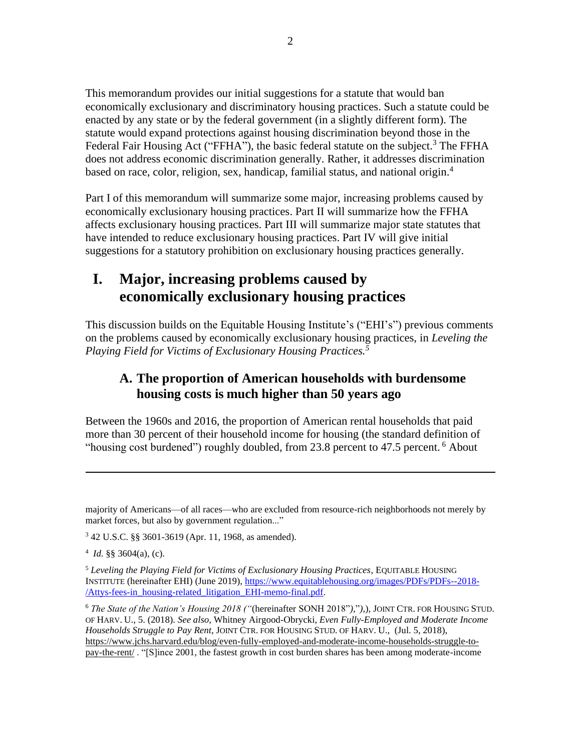This memorandum provides our initial suggestions for a statute that would ban economically exclusionary and discriminatory housing practices. Such a statute could be enacted by any state or by the federal government (in a slightly different form). The statute would expand protections against housing discrimination beyond those in the Federal Fair Housing Act ("FFHA"), the basic federal statute on the subject.<sup>3</sup> The FFHA does not address economic discrimination generally. Rather, it addresses discrimination based on race, color, religion, sex, handicap, familial status, and national origin.<sup>4</sup>

Part I of this memorandum will summarize some major, increasing problems caused by economically exclusionary housing practices. Part II will summarize how the FFHA affects exclusionary housing practices. Part III will summarize major state statutes that have intended to reduce exclusionary housing practices. Part IV will give initial suggestions for a statutory prohibition on exclusionary housing practices generally.

# **I. Major, increasing problems caused by economically exclusionary housing practices**

This discussion builds on the Equitable Housing Institute's ("EHI's") previous comments on the problems caused by economically exclusionary housing practices, in *Leveling the Playing Field for Victims of Exclusionary Housing Practices. 5*

# **A. The proportion of American households with burdensome housing costs is much higher than 50 years ago**

Between the 1960s and 2016, the proportion of American rental households that paid more than 30 percent of their household income for housing (the standard definition of "housing cost burdened") roughly doubled, from 23.8 percent to 47.5 percent.<sup>6</sup> About

majority of Americans—of all races—who are excluded from resource-rich neighborhoods not merely by market forces, but also by government regulation..."

<sup>3</sup> 42 U.S.C. §§ 3601-3619 (Apr. 11, 1968, as amended).

 $4$  *Id.* §§ 3604(a), (c).

<sup>5</sup> *Leveling the Playing Field for Victims of Exclusionary Housing Practices*, EQUITABLE HOUSING INSTITUTE (hereinafter EHI) (June 2019), [https://www.equitablehousing.org/images/PDFs/PDFs--2018-](https://www.equitablehousing.org/images/PDFs/PDFs--2018-/Attys-fees-in_housing-related_litigation_EHI-memo-final.pdf) [/Attys-fees-in\\_housing-related\\_litigation\\_EHI-memo-final.pdf.](https://www.equitablehousing.org/images/PDFs/PDFs--2018-/Attys-fees-in_housing-related_litigation_EHI-memo-final.pdf)

<sup>6</sup> *The State of the Nation's Housing 2018 ("*(hereinafter SONH 2018"*),*"*),*)*,* JOINT CTR. FOR HOUSING STUD. OF HARV. U., 5. (2018). *See also*, Whitney Airgood-Obrycki, *Even Fully-Employed and Moderate Income Households Struggle to Pay Rent*, JOINT CTR. FOR HOUSING STUD. OF HARV. U., (Jul. 5, 2018), [https://www.jchs.harvard.edu/blog/even-fully-employed-and-moderate-income-households-struggle-to](https://www.jchs.harvard.edu/blog/even-fully-employed-and-moderate-income-households-struggle-to-pay-the-rent/)[pay-the-rent/](https://www.jchs.harvard.edu/blog/even-fully-employed-and-moderate-income-households-struggle-to-pay-the-rent/) . "[S]ince 2001, the fastest growth in cost burden shares has been among moderate-income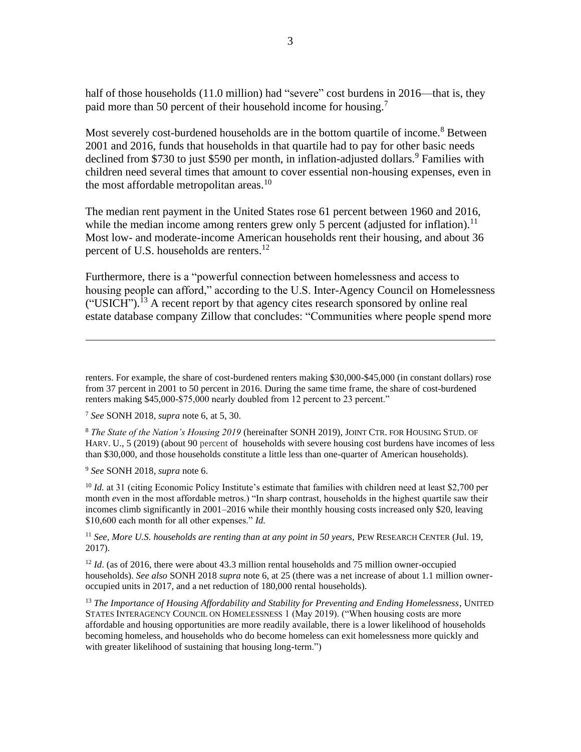half of those households (11.0 million) had "severe" cost burdens in 2016—that is, they paid more than 50 percent of their household income for housing.<sup>7</sup>

Most severely cost-burdened households are in the bottom quartile of income.<sup>8</sup> Between 2001 and 2016, funds that households in that quartile had to pay for other basic needs declined from \$730 to just \$590 per month, in inflation-adjusted dollars.<sup>9</sup> Families with children need several times that amount to cover essential non-housing expenses, even in the most affordable metropolitan areas.<sup>10</sup>

The median rent payment in the United States rose 61 percent between 1960 and 2016, while the median income among renters grew only 5 percent (adjusted for inflation).<sup>11</sup> Most low- and moderate-income American households rent their housing, and about 36 percent of U.S. households are renters.<sup>12</sup>

Furthermore, there is a "powerful connection between homelessness and access to housing people can afford," according to the U.S. Inter-Agency Council on Homelessness  $("USICH")$ .<sup>13</sup> A recent report by that agency cites research sponsored by online real estate database company Zillow that concludes: "Communities where people spend more

<sup>8</sup> *The State of the Nation's Housing 2019* (hereinafter SONH 2019)*,* JOINT CTR. FOR HOUSING STUD. OF HARV. U., 5 (2019) (about 90 percent of households with severe housing cost burdens have incomes of less than \$30,000, and those households constitute a little less than one-quarter of American households).

<sup>9</sup> *See* SONH 2018*, supra* note 6.

<sup>10</sup> *Id.* at 31 (citing Economic Policy Institute's estimate that families with children need at least \$2,700 per month *e*ven in the most affordable metros.) "In sharp contrast, households in the highest quartile saw their incomes climb significantly in 2001–2016 while their monthly housing costs increased only \$20, leaving \$10,600 each month for all other expenses." *Id.*

<sup>11</sup> *See, More U.S. households are renting than at any point in 50 years,* PEW RESEARCH CENTER (Jul. 19, 2017).

<sup>12</sup> *Id.* (as of 2016, there were about 43.3 million rental households and 75 million owner-occupied households). *See also* SONH 2018 *supra* note 6, at 25 (there was a net increase of about 1.1 million owneroccupied units in 2017, and a net reduction of 180,000 rental households).

<sup>13</sup> *The Importance of Housing Affordability and Stability for Preventing and Ending Homelessness*, UNITED STATES INTERAGENCY COUNCIL ON HOMELESSNESS 1 (May 2019). ("When housing costs are more affordable and housing opportunities are more readily available, there is a lower likelihood of households becoming homeless, and households who do become homeless can exit homelessness more quickly and with greater likelihood of sustaining that housing long-term.")

renters. For example, the share of cost-burdened renters making \$30,000-\$45,000 (in constant dollars) rose from 37 percent in 2001 to 50 percent in 2016. During the same time frame, the share of cost-burdened renters making \$45,000-\$75,000 nearly doubled from 12 percent to 23 percent."

<sup>7</sup> *See* SONH 2018*, supra* note 6, at 5, 30.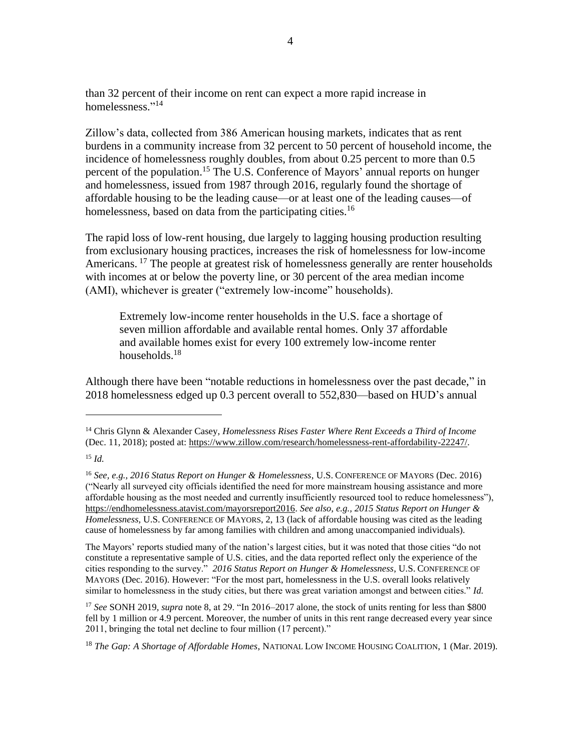than 32 percent of their income on rent can expect a more rapid increase in homelessness."<sup>14</sup>

Zillow's data, collected from 386 American housing markets, indicates that as rent burdens in a community increase from 32 percent to 50 percent of household income, the incidence of homelessness roughly doubles, from about 0.25 percent to more than 0.5 percent of the population.<sup>15</sup> The U.S. Conference of Mayors' annual reports on hunger and homelessness, issued from 1987 through 2016, regularly found the shortage of affordable housing to be the leading cause—or at least one of the leading causes—of homelessness, based on data from the participating cities.<sup>16</sup>

The rapid loss of low-rent housing, due largely to lagging housing production resulting from exclusionary housing practices, increases the risk of homelessness for low-income Americans.<sup>17</sup> The people at greatest risk of homelessness generally are renter households with incomes at or below the poverty line, or 30 percent of the area median income (AMI), whichever is greater ("extremely low-income" households).

Extremely low-income renter households in the U.S. face a shortage of seven million affordable and available rental homes. Only 37 affordable and available homes exist for every 100 extremely low-income renter households.<sup>18</sup>

Although there have been "notable reductions in homelessness over the past decade," in 2018 homelessness edged up 0.3 percent overall to 552,830—based on HUD's annual

The Mayors' reports studied many of the nation's largest cities, but it was noted that those cities "do not constitute a representative sample of U.S. cities, and the data reported reflect only the experience of the cities responding to the survey." *2016 Status Report on Hunger & Homelessness*, U.S. CONFERENCE OF MAYORS (Dec. 2016). However: "For the most part, homelessness in the U.S. overall looks relatively similar to homelessness in the study cities, but there was great variation amongst and between cities." *Id.*

<sup>17</sup> *See* SONH 2019*, supra* note 8, at 29. "In 2016–2017 alone, the stock of units renting for less than \$800 fell by 1 million or 4.9 percent. Moreover, the number of units in this rent range decreased every year since 2011, bringing the total net decline to four million (17 percent)."

<sup>18</sup> *The Gap: A Shortage of Affordable Homes*, NATIONAL LOW INCOME HOUSING COALITION, 1 (Mar. 2019).

<sup>14</sup> Chris Glynn & Alexander Casey, *Homelessness Rises Faster Where Rent Exceeds a Third of Income*  (Dec. 11, 2018); posted at: [https://www.zillow.com/research/homelessness-rent-affordability-22247/.](https://www.zillow.com/research/homelessness-rent-affordability-22247/)

<sup>15</sup> *Id.*

<sup>16</sup> *See, e.g., 2016 Status Report on Hunger & Homelessness*, U.S. CONFERENCE OF MAYORS (Dec. 2016) ("Nearly all surveyed city officials identified the need for more mainstream housing assistance and more affordable housing as the most needed and currently insufficiently resourced tool to reduce homelessness"), [https://endhomelessness.atavist.com/mayorsreport2016.](https://endhomelessness.atavist.com/mayorsreport2016) *See also, e.g., 2015 Status Report on Hunger & Homelessness,* U.S. CONFERENCE OF MAYORS, 2, 13 (lack of affordable housing was cited as the leading cause of homelessness by far among families with children and among unaccompanied individuals).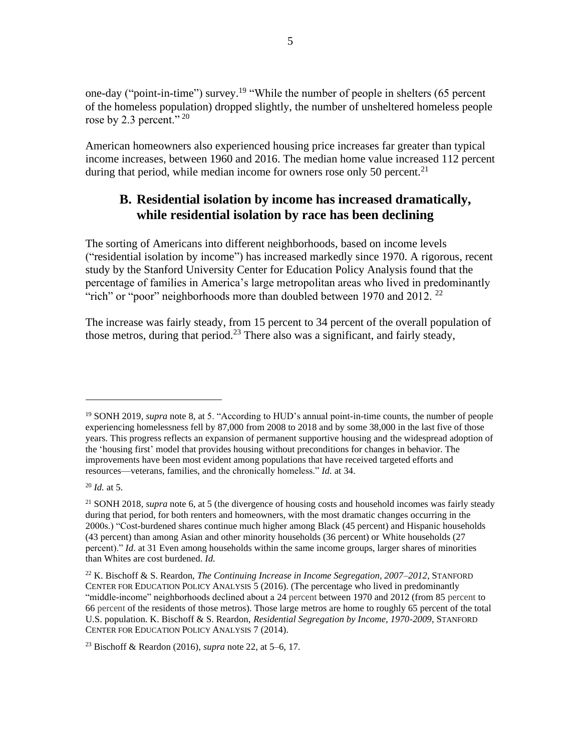one-day ("point-in-time") survey.<sup>19</sup> "While the number of people in shelters (65 percent of the homeless population) dropped slightly, the number of unsheltered homeless people rose by 2.3 percent."  $^{20}$ 

American homeowners also experienced housing price increases far greater than typical income increases, between 1960 and 2016. The median home value increased 112 percent during that period, while median income for owners rose only 50 percent.<sup>21</sup>

## **B. Residential isolation by income has increased dramatically, while residential isolation by race has been declining**

The sorting of Americans into different neighborhoods, based on income levels ("residential isolation by income") has increased markedly since 1970. A rigorous, recent study by the Stanford University Center for Education Policy Analysis found that the percentage of families in America's large metropolitan areas who lived in predominantly "rich" or "poor" neighborhoods more than doubled between 1970 and 2012.<sup>22</sup>

The increase was fairly steady, from 15 percent to 34 percent of the overall population of those metros, during that period.<sup>23</sup> There also was a significant, and fairly steady,

<sup>23</sup> Bischoff & Reardon (2016), *supra* note 22, at 5–6, 17.

<sup>19</sup> SONH 2019*, supra* note 8, at 5. "According to HUD's annual point-in-time counts, the number of people experiencing homelessness fell by 87,000 from 2008 to 2018 and by some 38,000 in the last five of those years. This progress reflects an expansion of permanent supportive housing and the widespread adoption of the 'housing first' model that provides housing without preconditions for changes in behavior. The improvements have been most evident among populations that have received targeted efforts and resources—veterans, families, and the chronically homeless." *Id.* at 34.

<sup>20</sup> *Id.* at 5.

<sup>21</sup> SONH 2018, *supra* note 6, at 5 (the divergence of housing costs and household incomes was fairly steady during that period, for both renters and homeowners, with the most dramatic changes occurring in the 2000s.) "Cost-burdened shares continue much higher among Black (45 percent) and Hispanic households (43 percent) than among Asian and other minority households (36 percent) or White households (27 percent)." *Id*. at 31 Even among households within the same income groups, larger shares of minorities than Whites are cost burdened. *Id.*

<sup>22</sup> K. Bischoff & S. Reardon, *The Continuing Increase in Income Segregation, 2007–2012*, STANFORD CENTER FOR EDUCATION POLICY ANALYSIS 5 (2016). (The percentage who lived in predominantly "middle-income" neighborhoods declined about a 24 percent between 1970 and 2012 (from 85 percent to 66 percent of the residents of those metros). Those large metros are home to roughly 65 percent of the total U.S. population. K. Bischoff & S. Reardon, *Residential Segregation by Income, 1970-2009*, STANFORD CENTER FOR EDUCATION POLICY ANALYSIS 7 (2014).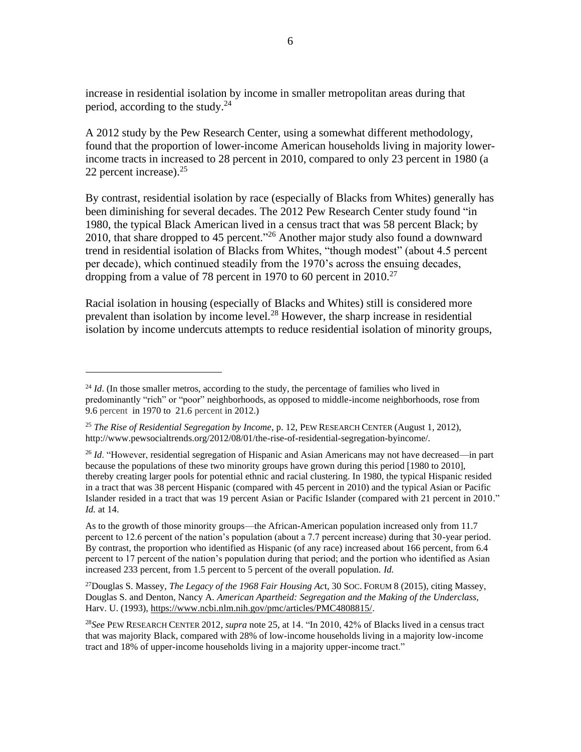increase in residential isolation by income in smaller metropolitan areas during that period, according to the study. $^{24}$ 

A 2012 study by the Pew Research Center, using a somewhat different methodology, found that the proportion of lower-income American households living in majority lowerincome tracts in increased to 28 percent in 2010, compared to only 23 percent in 1980 (a 22 percent increase).<sup>25</sup>

By contrast, residential isolation by race (especially of Blacks from Whites) generally has been diminishing for several decades. The 2012 Pew Research Center study found "in 1980, the typical Black American lived in a census tract that was 58 percent Black; by 2010, that share dropped to 45 percent."<sup>26</sup> Another major study also found a downward trend in residential isolation of Blacks from Whites, "though modest" (about 4.5 percent per decade), which continued steadily from the 1970's across the ensuing decades, dropping from a value of 78 percent in 1970 to 60 percent in 2010.<sup>27</sup>

Racial isolation in housing (especially of Blacks and Whites) still is considered more prevalent than isolation by income level.<sup>28</sup> However, the sharp increase in residential isolation by income undercuts attempts to reduce residential isolation of minority groups,

 $^{24}$  *Id.* (In those smaller metros, according to the study, the percentage of families who lived in predominantly "rich" or "poor" neighborhoods, as opposed to middle-income neighborhoods, rose from 9.6 percent in 1970 to 21.6 percent in 2012.)

<sup>25</sup> *The Rise of Residential Segregation by Income*, p. 12, PEW RESEARCH CENTER (August 1, 2012), http://www.pewsocialtrends.org/2012/08/01/the-rise-of-residential-segregation-byincome/.

<sup>26</sup> *Id*. "However, residential segregation of Hispanic and Asian Americans may not have decreased—in part because the populations of these two minority groups have grown during this period [1980 to 2010], thereby creating larger pools for potential ethnic and racial clustering. In 1980, the typical Hispanic resided in a tract that was 38 percent Hispanic (compared with 45 percent in 2010) and the typical Asian or Pacific Islander resided in a tract that was 19 percent Asian or Pacific Islander (compared with 21 percent in 2010." *Id.* at 14.

As to the growth of those minority groups—the African-American population increased only from 11.7 percent to 12.6 percent of the nation's population (about a 7.7 percent increase) during that 30-year period. By contrast, the proportion who identified as Hispanic (of any race) increased about 166 percent, from 6.4 percent to 17 percent of the nation's population during that period; and the portion who identified as Asian increased 233 percent, from 1.5 percent to 5 percent of the overall population. *Id.* 

<sup>27</sup>Douglas S. Massey, *The Legacy of the 1968 Fair Housing Ac*t, 30 SOC. FORUM 8 (2015), citing Massey, Douglas S. and Denton, Nancy A. *American Apartheid: Segregation and the Making of the Underclass,* Harv. U. (1993), [https://www.ncbi.nlm.nih.gov/pmc/articles/PMC4808815/.](https://www.ncbi.nlm.nih.gov/pmc/articles/PMC4808815/)

<sup>28</sup>*See* PEW RESEARCH CENTER 2012, *supra* note 25, at 14. "In 2010, 42% of Blacks lived in a census tract that was majority Black, compared with 28% of low-income households living in a majority low-income tract and 18% of upper-income households living in a majority upper-income tract."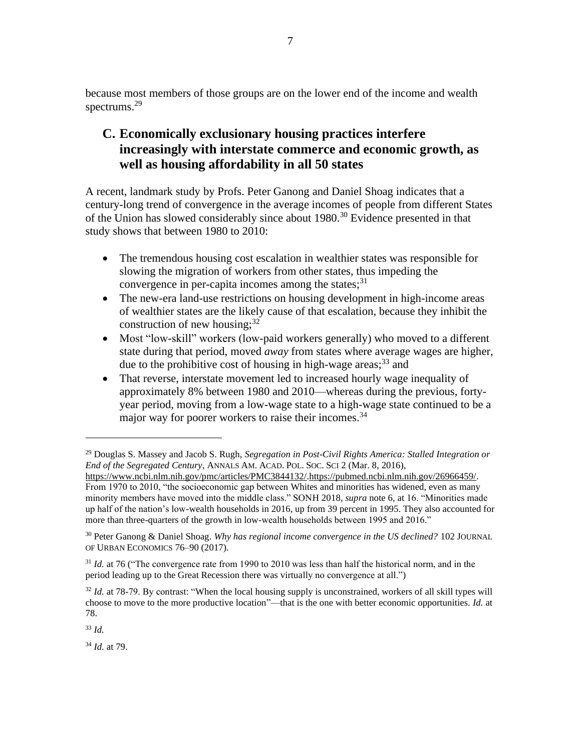because most members of those groups are on the lower end of the income and wealth spectrums. 29

## **C. Economically exclusionary housing practices interfere increasingly with interstate commerce and economic growth, as well as housing affordability in all 50 states**

A recent, landmark study by Profs. Peter Ganong and Daniel Shoag indicates that a century-long trend of convergence in the average incomes of people from different States of the Union has slowed considerably since about 1980.<sup>30</sup> Evidence presented in that study shows that between 1980 to 2010:

- The tremendous housing cost escalation in wealthier states was responsible for slowing the migration of workers from other states, thus impeding the convergence in per-capita incomes among the states; $31$
- The new-era land-use restrictions on housing development in high-income areas of wealthier states are the likely cause of that escalation, because they inhibit the construction of new housing; $32$
- Most "low-skill" workers (low-paid workers generally) who moved to a different state during that period, moved *away* from states where average wages are higher, due to the prohibitive cost of housing in high-wage areas;<sup>33</sup> and
- That reverse, interstate movement led to increased hourly wage inequality of approximately 8% between 1980 and 2010—whereas during the previous, fortyyear period, moving from a low-wage state to a high-wage state continued to be a major way for poorer workers to raise their incomes.<sup>34</sup>

<sup>33</sup> *Id.* 

<sup>34</sup> *Id.* at 79.

<sup>29</sup> Douglas S. Massey and Jacob S. Rugh, *Segregation in Post-Civil Rights America: Stalled Integration or End of the Segregated Century*, ANNALS AM. ACAD. POL. SOC. SCI 2 (Mar. 8, 2016),

[https://www.ncbi.nlm.nih.gov/pmc/articles/PMC3844132/.](https://www.ncbi.nlm.nih.gov/pmc/articles/PMC3844132/)[https://pubmed.ncbi.nlm.nih.gov/26966459/.](https://pubmed.ncbi.nlm.nih.gov/26966459/) From 1970 to 2010, "the socioeconomic gap between Whites and minorities has widened, even as many minority members have moved into the middle class." SONH 2018*, supra* note 6, at 16. "Minorities made up half of the nation's low-wealth households in 2016, up from 39 percent in 1995. They also accounted for more than three-quarters of the growth in low-wealth households between 1995 and 2016."

<sup>30</sup> Peter Ganong & Daniel Shoag. *Why has regional income convergence in the US declined?* 102 JOURNAL OF URBAN ECONOMICS 76–90 (2017).

<sup>&</sup>lt;sup>31</sup> *Id.* at 76 ("The convergence rate from 1990 to 2010 was less than half the historical norm, and in the period leading up to the Great Recession there was virtually no convergence at all.")

<sup>&</sup>lt;sup>32</sup> *Id.* at 78-79. By contrast: "When the local housing supply is unconstrained, workers of all skill types will choose to move to the more productive location"—that is the one with better economic opportunities. *Id.* at 78.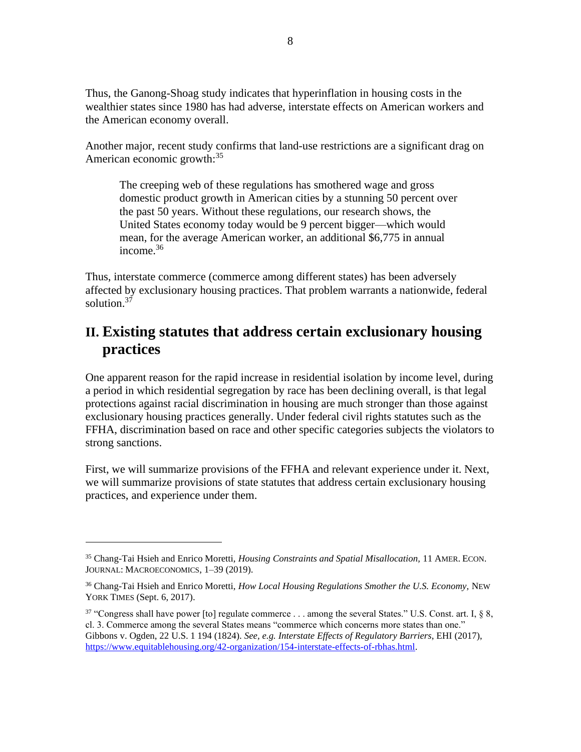Thus, the Ganong-Shoag study indicates that hyperinflation in housing costs in the wealthier states since 1980 has had adverse, interstate effects on American workers and the American economy overall.

Another major, recent study confirms that land-use restrictions are a significant drag on American economic growth:<sup>35</sup>

The creeping web of these regulations has smothered wage and gross domestic product growth in American cities by a stunning 50 percent over the past 50 years. Without these regulations, our research shows, the United States economy today would be 9 percent bigger—which would mean, for the average American worker, an additional \$6,775 in annual income.<sup>36</sup>

Thus, interstate commerce (commerce among different states) has been adversely affected by exclusionary housing practices. That problem warrants a nationwide, federal solution.<sup>37</sup>

# **II. Existing statutes that address certain exclusionary housing practices**

One apparent reason for the rapid increase in residential isolation by income level, during a period in which residential segregation by race has been declining overall, is that legal protections against racial discrimination in housing are much stronger than those against exclusionary housing practices generally. Under federal civil rights statutes such as the FFHA, discrimination based on race and other specific categories subjects the violators to strong sanctions.

First, we will summarize provisions of the FFHA and relevant experience under it. Next, we will summarize provisions of state statutes that address certain exclusionary housing practices, and experience under them.

<sup>35</sup> Chang-Tai Hsieh and Enrico Moretti, *Housing Constraints and Spatial Misallocation,* 11 AMER. ECON. JOURNAL: MACROECONOMICS, 1–39 (2019).

<sup>&</sup>lt;sup>36</sup> Chang-Tai Hsieh and Enrico Moretti, *How Local Housing Regulations Smother the U.S. Economy*, NEW YORK TIMES (Sept. 6, 2017).

<sup>&</sup>lt;sup>37</sup> "Congress shall have power [to] regulate commerce . . . among the several States." U.S. Const. art. I,  $\S$  8, cl. 3. Commerce among the several States means "commerce which concerns more states than one." Gibbons v. Ogden, 22 U.S. 1 194 (1824). *See, e.g. Interstate Effects of Regulatory Barriers*, EHI (2017), [https://www.equitablehousing.org/42-organization/154-interstate-effects-of-rbhas.html.](https://www.equitablehousing.org/42-organization/154-interstate-effects-of-rbhas.html)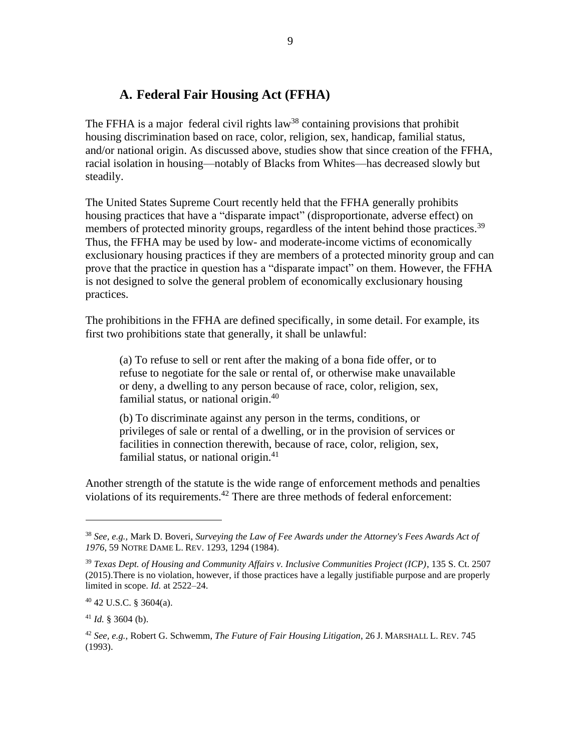## **A. Federal Fair Housing Act (FFHA)**

The FFHA is a major federal civil rights  $law^{38}$  containing provisions that prohibit housing discrimination based on race, color, religion, sex, handicap, familial status, and/or national origin. As discussed above, studies show that since creation of the FFHA, racial isolation in housing—notably of Blacks from Whites—has decreased slowly but steadily.

The United States Supreme Court recently held that the FFHA generally prohibits housing practices that have a "disparate impact" (disproportionate, adverse effect) on members of protected minority groups, regardless of the intent behind those practices.<sup>39</sup> Thus, the FFHA may be used by low- and moderate-income victims of economically exclusionary housing practices if they are members of a protected minority group and can prove that the practice in question has a "disparate impact" on them. However, the FFHA is not designed to solve the general problem of economically exclusionary housing practices.

The prohibitions in the FFHA are defined specifically, in some detail. For example, its first two prohibitions state that generally, it shall be unlawful:

(a) To refuse to sell or rent after the making of a bona fide offer, or to refuse to negotiate for the sale or rental of, or otherwise make unavailable or deny, a dwelling to any person because of race, color, religion, sex, familial status, or national origin.<sup>40</sup>

(b) To discriminate against any person in the terms, conditions, or privileges of sale or rental of a dwelling, or in the provision of services or facilities in connection therewith, because of race, color, religion, sex, familial status, or national origin. $41$ 

Another strength of the statute is the wide range of enforcement methods and penalties violations of its requirements.<sup>42</sup> There are three methods of federal enforcement:

<sup>38</sup> *See, e.g.,* Mark D. Boveri, *Surveying the Law of Fee Awards under the Attorney's Fees Awards Act of 1976*, 59 NOTRE DAME L. REV. 1293, 1294 (1984).

<sup>39</sup> *Texas Dept. of Housing and Community Affairs v. Inclusive Communities Project (ICP)*, 135 S. Ct. 2507 (2015).There is no violation, however, if those practices have a legally justifiable purpose and are properly limited in scope. *Id.* at 2522–24.

<sup>40</sup> 42 U.S.C. § 3604(a).

 $41$  *Id.* § 3604 (b).

<sup>42</sup> *See, e.g.,* Robert G. Schwemm, *The Future of Fair Housing Litigation*, 26 J. MARSHALL L. REV. 745 (1993).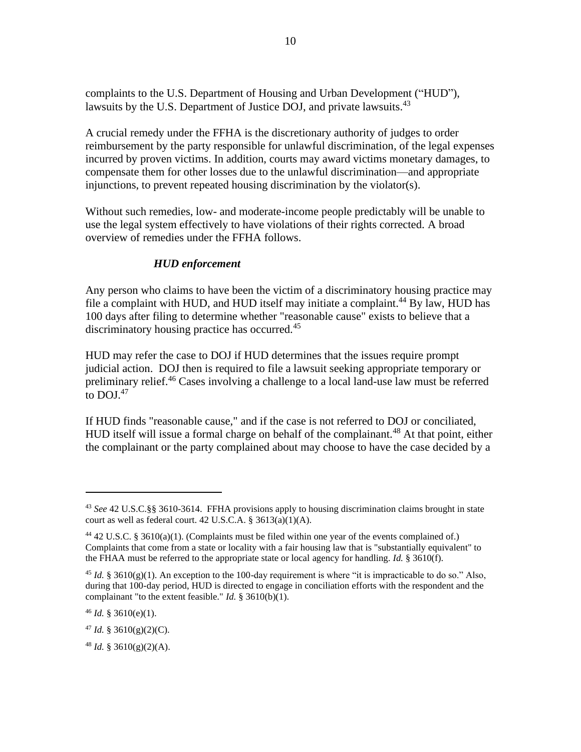complaints to the U.S. Department of Housing and Urban Development ("HUD"), lawsuits by the U.S. Department of Justice DOJ, and private lawsuits.<sup>43</sup>

A crucial remedy under the FFHA is the discretionary authority of judges to order reimbursement by the party responsible for unlawful discrimination, of the legal expenses incurred by proven victims. In addition, courts may award victims monetary damages, to compensate them for other losses due to the unlawful discrimination—and appropriate injunctions, to prevent repeated housing discrimination by the violator(s).

Without such remedies, low- and moderate-income people predictably will be unable to use the legal system effectively to have violations of their rights corrected. A broad overview of remedies under the FFHA follows.

#### *HUD enforcement*

Any person who claims to have been the victim of a discriminatory housing practice may file a complaint with HUD, and HUD itself may initiate a complaint.<sup>44</sup> By law, HUD has 100 days after filing to determine whether "reasonable cause" exists to believe that a discriminatory housing practice has occurred.<sup>45</sup>

HUD may refer the case to DOJ if HUD determines that the issues require prompt judicial action. DOJ then is required to file a lawsuit seeking appropriate temporary or preliminary relief.<sup>46</sup> Cases involving a challenge to a local land-use law must be referred to  $D O J^{47}$ 

If HUD finds "reasonable cause," and if the case is not referred to DOJ or conciliated, HUD itself will issue a formal charge on behalf of the complainant.<sup>48</sup> At that point, either the complainant or the party complained about may choose to have the case decided by a

<sup>46</sup> *Id.* § 3610(e)(1).

 $47$  *Id.* § 3610(g)(2)(C).

<sup>43</sup> *See* 42 U.S.C.§§ 3610-3614. FFHA provisions apply to housing discrimination claims brought in state court as well as federal court. 42 U.S.C.A. § 3613(a)(1)(A).

<sup>44</sup> 42 U.S.C. § 3610(a)(1). (Complaints must be filed within one year of the events complained of.) Complaints that come from a state or locality with a fair housing law that is "substantially equivalent" to the FHAA must be referred to the appropriate state or local agency for handling. *Id.* § 3610(f).

<sup>&</sup>lt;sup>45</sup> *Id.* § 3610(g)(1). An exception to the 100-day requirement is where "it is impracticable to do so." Also, during that 100-day period, HUD is directed to engage in conciliation efforts with the respondent and the complainant "to the extent feasible." *Id.* § 3610(b)(1).

 $48$  *Id.* § 3610(g)(2)(A).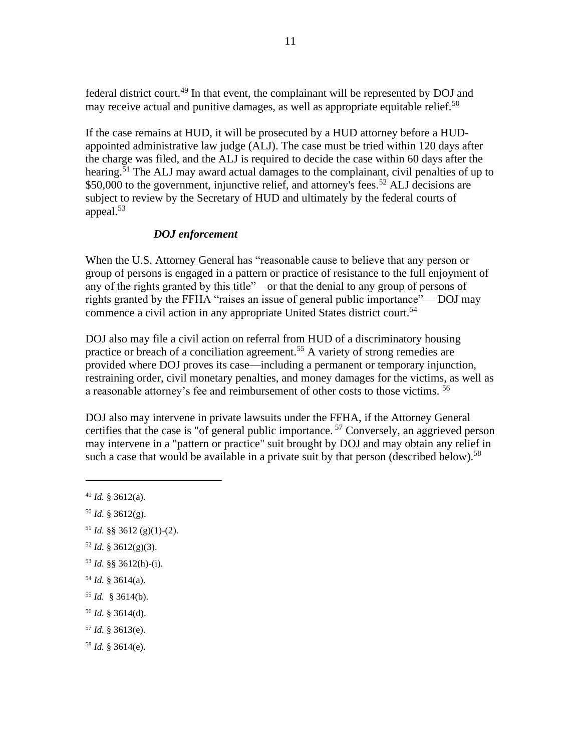federal district court.<sup>49</sup> In that event, the complainant will be represented by DOJ and may receive actual and punitive damages, as well as appropriate equitable relief.<sup>50</sup>

If the case remains at HUD, it will be prosecuted by a HUD attorney before a HUDappointed administrative law judge (ALJ). The case must be tried within 120 days after the charge was filed, and the ALJ is required to decide the case within 60 days after the hearing.<sup>51</sup> The ALJ may award actual damages to the complainant, civil penalties of up to  $$50,000$  to the government, injunctive relief, and attorney's fees.<sup>52</sup> ALJ decisions are subject to review by the Secretary of HUD and ultimately by the federal courts of appeal.<sup>53</sup>

#### *DOJ enforcement*

When the U.S. Attorney General has "reasonable cause to believe that any person or group of persons is engaged in a pattern or practice of resistance to the full enjoyment of any of the rights granted by this title"—or that the denial to any group of persons of rights granted by the FFHA "raises an issue of general public importance"— DOJ may commence a civil action in any appropriate United States district court.<sup>54</sup>

DOJ also may file a civil action on referral from HUD of a discriminatory housing practice or breach of a conciliation agreement.<sup>55</sup> A variety of strong remedies are provided where DOJ proves its case—including a permanent or temporary injunction, restraining order, civil monetary penalties, and money damages for the victims, as well as a reasonable attorney's fee and reimbursement of other costs to those victims. <sup>56</sup>

DOJ also may intervene in private lawsuits under the FFHA, if the Attorney General certifies that the case is "of general public importance.<sup>57</sup> Conversely, an aggrieved person may intervene in a "pattern or practice" suit brought by DOJ and may obtain any relief in such a case that would be available in a private suit by that person (described below).<sup>58</sup>

- $50$  *Id.* § 3612(g).
- $51$  *Id.* §§ 3612 (g)(1)-(2).
- $52$  *Id.* § 3612(g)(3).
- <sup>53</sup> *Id.* §§ 3612(h)-(i).
- <sup>54</sup> *Id.* § 3614(a).
- <sup>55</sup> *Id.* § 3614(b).
- <sup>56</sup> *Id.* § 3614(d).
- <sup>57</sup> *Id.* § 3613(e).
- <sup>58</sup> *Id.* § 3614(e).

<sup>49</sup> *Id.* § 3612(a).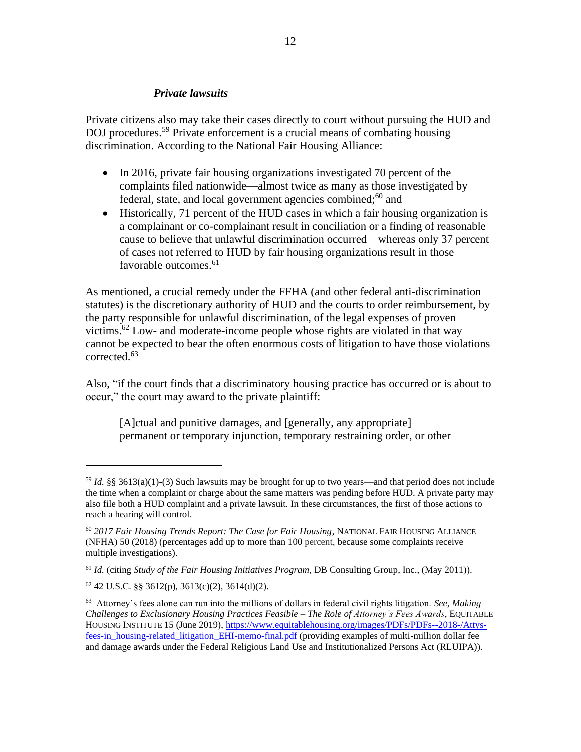#### *Private lawsuits*

Private citizens also may take their cases directly to court without pursuing the HUD and DOJ procedures.<sup>59</sup> Private enforcement is a crucial means of combating housing discrimination. According to the National Fair Housing Alliance:

- In 2016, private fair housing organizations investigated 70 percent of the complaints filed nationwide—almost twice as many as those investigated by federal, state, and local government agencies combined; $60$  and
- Historically, 71 percent of the HUD cases in which a fair housing organization is a complainant or co-complainant result in conciliation or a finding of reasonable cause to believe that unlawful discrimination occurred—whereas only 37 percent of cases not referred to HUD by fair housing organizations result in those favorable outcomes. 61

As mentioned, a crucial remedy under the FFHA (and other federal anti-discrimination statutes) is the discretionary authority of HUD and the courts to order reimbursement, by the party responsible for unlawful discrimination, of the legal expenses of proven victims.<sup>62</sup> Low- and moderate-income people whose rights are violated in that way cannot be expected to bear the often enormous costs of litigation to have those violations corrected. 63

Also, "if the court finds that a discriminatory housing practice has occurred or is about to occur," the court may award to the private plaintiff:

[A]ctual and punitive damages, and [generally, any appropriate] permanent or temporary injunction, temporary restraining order, or other

<sup>59</sup> *Id.* §§ 3613(a)(1)-(3) Such lawsuits may be brought for up to two years—and that period does not include the time when a complaint or charge about the same matters was pending before HUD. A private party may also file both a HUD complaint and a private lawsuit. In these circumstances, the first of those actions to reach a hearing will control.

<sup>60</sup> *2017 Fair Housing Trends Report: The Case for Fair Housing*, NATIONAL FAIR HOUSING ALLIANCE (NFHA) 50 (2018) (percentages add up to more than 100 percent, because some complaints receive multiple investigations).

<sup>61</sup> *Id.* (citing *Study of the Fair Housing Initiatives Program*, DB Consulting Group, Inc., (May 2011)).

 $62$  42 U.S.C. §§ 3612(p), 3613(c)(2), 3614(d)(2).

<sup>63</sup> Attorney's fees alone can run into the millions of dollars in federal civil rights litigation. *See*, *Making Challenges to Exclusionary Housing Practices Feasible – The Role of Attorney's Fees Awards*, EQUITABLE HOUSING INSTITUTE 15 (June 2019), [https://www.equitablehousing.org/images/PDFs/PDFs--2018-/Attys](https://www.equitablehousing.org/images/PDFs/PDFs--2018-/Attys-fees-in_housing-related_litigation_EHI-memo-final.pdf)[fees-in\\_housing-related\\_litigation\\_EHI-memo-final.pdf](https://www.equitablehousing.org/images/PDFs/PDFs--2018-/Attys-fees-in_housing-related_litigation_EHI-memo-final.pdf) (providing examples of multi-million dollar fee and damage awards under the Federal Religious Land Use and Institutionalized Persons Act (RLUIPA)).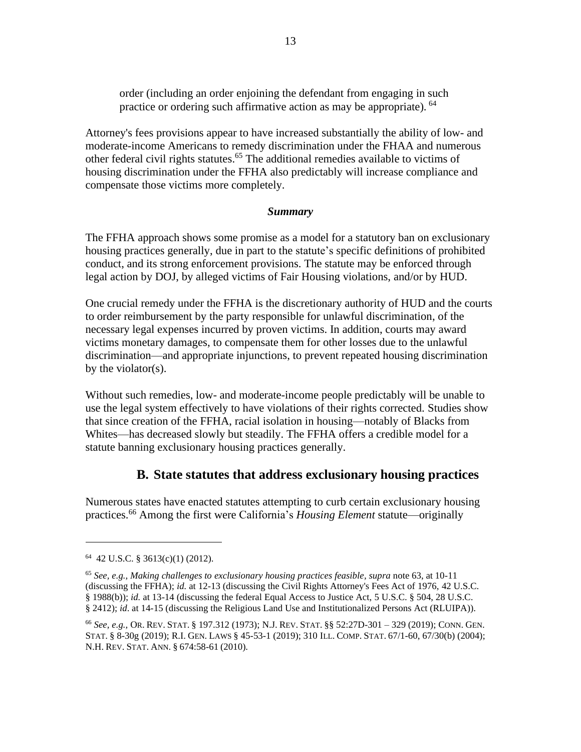order (including an order enjoining the defendant from engaging in such practice or ordering such affirmative action as may be appropriate). <sup>64</sup>

Attorney's fees provisions appear to have increased substantially the ability of low- and moderate-income Americans to remedy discrimination under the FHAA and numerous other federal civil rights statutes. <sup>65</sup> The additional remedies available to victims of housing discrimination under the FFHA also predictably will increase compliance and compensate those victims more completely.

#### *Summary*

The FFHA approach shows some promise as a model for a statutory ban on exclusionary housing practices generally, due in part to the statute's specific definitions of prohibited conduct, and its strong enforcement provisions. The statute may be enforced through legal action by DOJ, by alleged victims of Fair Housing violations, and/or by HUD.

One crucial remedy under the FFHA is the discretionary authority of HUD and the courts to order reimbursement by the party responsible for unlawful discrimination, of the necessary legal expenses incurred by proven victims. In addition, courts may award victims monetary damages, to compensate them for other losses due to the unlawful discrimination—and appropriate injunctions, to prevent repeated housing discrimination by the violator(s).

Without such remedies, low- and moderate-income people predictably will be unable to use the legal system effectively to have violations of their rights corrected. Studies show that since creation of the FFHA, racial isolation in housing—notably of Blacks from Whites—has decreased slowly but steadily. The FFHA offers a credible model for a statute banning exclusionary housing practices generally.

#### **B. State statutes that address exclusionary housing practices**

Numerous states have enacted statutes attempting to curb certain exclusionary housing practices.<sup>66</sup> Among the first were California's *Housing Element* statute—originally

<sup>64</sup> 42 U.S.C. § 3613(c)(1) (2012).

<sup>65</sup> *See, e.g., Making challenges to exclusionary housing practices feasible, supra* note 63, at 10-11 (discussing the FFHA); *id.* at 12-13 (discussing the Civil Rights Attorney's Fees Act of 1976, 42 U.S.C. § 1988(b)); *id.* at 13-14 (discussing the federal Equal Access to Justice Act, 5 U.S.C. § 504, 28 U.S.C. § 2412); *id*. at 14-15 (discussing the Religious Land Use and Institutionalized Persons Act (RLUIPA)).

<sup>66</sup> *See, e.g.,* OR. REV. STAT. § 197.312 (1973); N.J. REV. STAT. §§ 52:27D-301 – 329 (2019); CONN. GEN. STAT. § 8-30g (2019); R.I. GEN. LAWS § 45-53-1 (2019); 310 ILL. COMP. STAT. 67/1-60, 67/30(b) (2004); N.H. REV. STAT. ANN. § 674:58-61 (2010).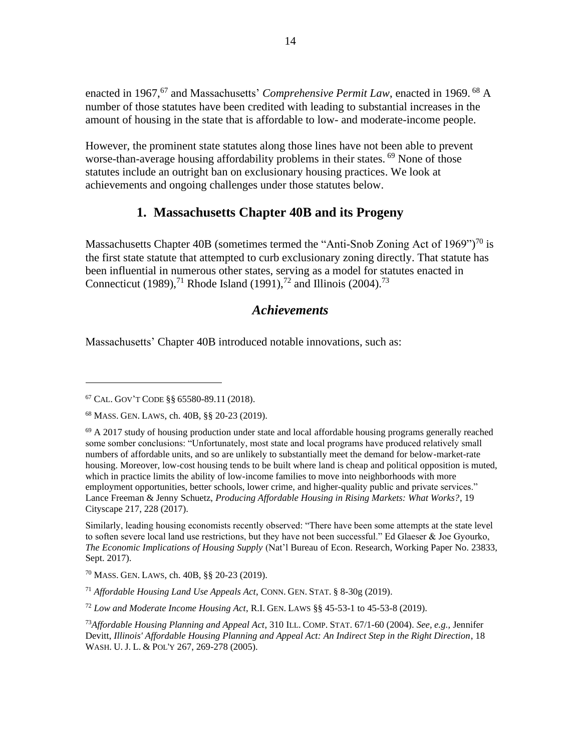enacted in 1967,<sup>67</sup> and Massachusetts' *Comprehensive Permit Law*, enacted in 1969. <sup>68</sup> A number of those statutes have been credited with leading to substantial increases in the amount of housing in the state that is affordable to low- and moderate-income people.

However, the prominent state statutes along those lines have not been able to prevent worse-than-average housing affordability problems in their states. <sup>69</sup> None of those statutes include an outright ban on exclusionary housing practices. We look at achievements and ongoing challenges under those statutes below.

## **1. Massachusetts Chapter 40B and its Progeny**

Massachusetts Chapter 40B (sometimes termed the "Anti-Snob Zoning Act of 1969")<sup>70</sup> is the first state statute that attempted to curb exclusionary zoning directly. That statute has been influential in numerous other states, serving as a model for statutes enacted in Connecticut (1989),<sup>71</sup> Rhode Island (1991),<sup>72</sup> and Illinois (2004).<sup>73</sup>

#### *Achievements*

Massachusetts' Chapter 40B introduced notable innovations, such as:

<sup>67</sup> CAL. GOV'T CODE §§ 65580-89.11 (2018).

<sup>68</sup> MASS. GEN. LAWS, ch. 40B, §§ 20-23 (2019).

 $^{69}$  A 2017 study of housing production under state and local affordable housing programs generally reached some somber conclusions: "Unfortunately, most state and local programs have produced relatively small numbers of affordable units, and so are unlikely to substantially meet the demand for below-market-rate housing. Moreover, low-cost housing tends to be built where land is cheap and political opposition is muted, which in practice limits the ability of low-income families to move into neighborhoods with more employment opportunities, better schools, lower crime, and higher-quality public and private services." Lance Freeman & Jenny Schuetz, *Producing Affordable Housing in Rising Markets: What Works?*, 19 Cityscape 217, 228 (2017).

Similarly, leading housing economists recently observed: "There have been some attempts at the state level to soften severe local land use restrictions, but they have not been successful." Ed Glaeser & Joe Gyourko, *The Economic Implications of Housing Supply* (Nat'l Bureau of Econ. Research, Working Paper No. 23833, Sept. 2017).

<sup>70</sup> MASS. GEN. LAWS, ch. 40B, §§ 20-23 (2019).

<sup>71</sup> *Affordable Housing Land Use Appeals Act*, CONN. GEN. STAT. § 8-30g (2019).

<sup>72</sup> *Low and Moderate Income Housing Act*, R.I. GEN. LAWS §§ 45-53-1 to 45-53-8 (2019).

<sup>73</sup>*Affordable Housing Planning and Appeal Act*, 310 ILL. COMP. STAT. 67/1-60 (2004). *See, e.g.,* Jennifer Devitt, *Illinois' Affordable Housing Planning and Appeal Act: An Indirect Step in the Right Direction*, 18 WASH. U. J. L. & POL'Y 267, 269-278 (2005).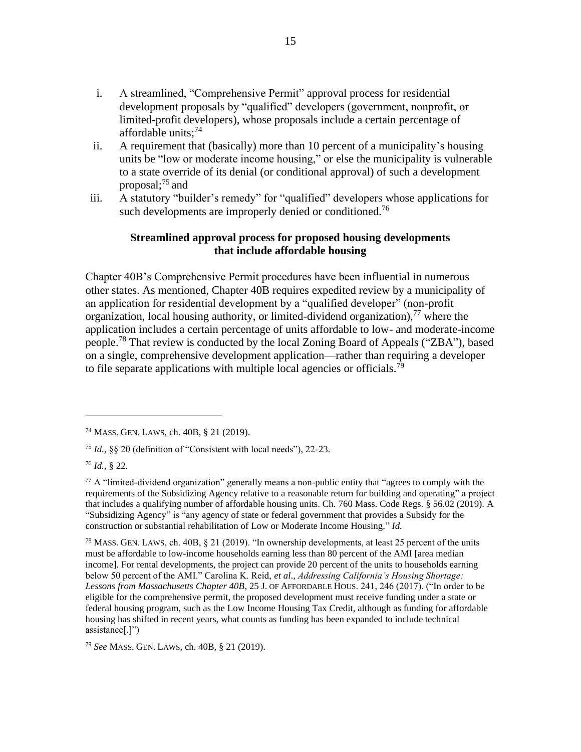- i. A streamlined, "Comprehensive Permit" approval process for residential development proposals by "qualified" developers (government, nonprofit, or limited-profit developers), whose proposals include a certain percentage of affordable units; $74$
- ii. A requirement that (basically) more than 10 percent of a municipality's housing units be "low or moderate income housing," or else the municipality is vulnerable to a state override of its denial (or conditional approval) of such a development proposal; <sup>75</sup> and
- iii. A statutory "builder's remedy" for "qualified" developers whose applications for such developments are improperly denied or conditioned.<sup>76</sup>

#### **Streamlined approval process for proposed housing developments that include affordable housing**

Chapter 40B's Comprehensive Permit procedures have been influential in numerous other states. As mentioned, Chapter 40B requires expedited review by a municipality of an application for residential development by a "qualified developer" (non-profit organization, local housing authority, or limited-dividend organization),  $^{77}$  where the application includes a certain percentage of units affordable to low- and moderate-income people.<sup>78</sup> That review is conducted by the local Zoning Board of Appeals ("ZBA"), based on a single, comprehensive development application—rather than requiring a developer to file separate applications with multiple local agencies or officials.<sup>79</sup>

<sup>79</sup> *See* MASS. GEN. LAWS, ch. 40B, § 21 (2019).

<sup>74</sup> MASS. GEN. LAWS, ch. 40B, § 21 (2019).

<sup>75</sup> *Id.,* §§ 20 (definition of "Consistent with local needs"), 22-23.

<sup>76</sup> *Id.,* § 22.

 $77$  A "limited-dividend organization" generally means a non-public entity that "agrees to comply with the requirements of the Subsidizing Agency relative to a reasonable return for building and operating" a project that includes a qualifying number of affordable housing units. Ch. 760 Mass. Code Regs. § 56.02 (2019). A "Subsidizing Agency" is "any agency of state or federal government that provides a Subsidy for the construction or substantial rehabilitation of Low or Moderate Income Housing." *Id.* 

<sup>&</sup>lt;sup>78</sup> MASS. GEN. LAWS, ch. 40B, § 21 (2019). "In ownership developments, at least 25 percent of the units must be affordable to low-income households earning less than 80 percent of the AMI [area median income]. For rental developments, the project can provide 20 percent of the units to households earning below 50 percent of the AMI." Carolina K. Reid, *et al*., *Addressing California's Housing Shortage: Lessons from Massachusetts Chapter 40B*, 25 J. OF AFFORDABLE HOUS. 241, 246 (2017). ("In order to be eligible for the comprehensive permit, the proposed development must receive funding under a state or federal housing program, such as the Low Income Housing Tax Credit, although as funding for affordable housing has shifted in recent years, what counts as funding has been expanded to include technical assistance[.]")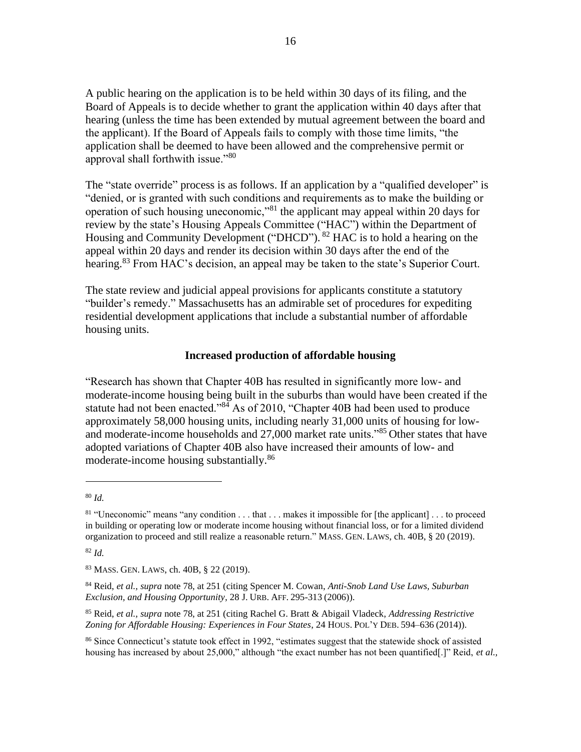A public hearing on the application is to be held within 30 days of its filing, and the Board of Appeals is to decide whether to grant the application within 40 days after that hearing (unless the time has been extended by mutual agreement between the board and the applicant). If the Board of Appeals fails to comply with those time limits, "the application shall be deemed to have been allowed and the comprehensive permit or approval shall forthwith issue."80

The "state override" process is as follows. If an application by a "qualified developer" is "denied, or is granted with such conditions and requirements as to make the building or operation of such housing uneconomic,"<sup>81</sup> the applicant may appeal within 20 days for review by the state's Housing Appeals Committee ("HAC") within the Department of Housing and Community Development ("DHCD"). <sup>82</sup> HAC is to hold a hearing on the appeal within 20 days and render its decision within 30 days after the end of the hearing.<sup>83</sup> From HAC's decision, an appeal may be taken to the state's Superior Court.

The state review and judicial appeal provisions for applicants constitute a statutory "builder's remedy." Massachusetts has an admirable set of procedures for expediting residential development applications that include a substantial number of affordable housing units.

#### **Increased production of affordable housing**

"Research has shown that Chapter 40B has resulted in significantly more low- and moderate-income housing being built in the suburbs than would have been created if the statute had not been enacted." $84$  As of 2010, "Chapter 40B had been used to produce approximately 58,000 housing units, including nearly 31,000 units of housing for lowand moderate-income households and 27,000 market rate units."<sup>85</sup> Other states that have adopted variations of Chapter 40B also have increased their amounts of low- and moderate-income housing substantially.<sup>86</sup>

<sup>82</sup> *Id.*

<sup>80</sup> *Id.*

<sup>81</sup> "Uneconomic" means "any condition . . . that . . . makes it impossible for [the applicant] . . . to proceed in building or operating low or moderate income housing without financial loss, or for a limited dividend organization to proceed and still realize a reasonable return." MASS. GEN. LAWS, ch. 40B, § 20 (2019).

<sup>83</sup> MASS. GEN. LAWS, ch. 40B, § 22 (2019).

<sup>84</sup> Reid, *et al., supra* note 78, at 251 (citing Spencer M. Cowan, *Anti-Snob Land Use Laws, Suburban Exclusion, and Housing Opportunity*, 28 J. URB. AFF. 295-313 (2006)).

<sup>85</sup> Reid, *et al., supra* note 78, at 251 (citing Rachel G. Bratt & Abigail Vladeck, *Addressing Restrictive Zoning for Affordable Housing: Experiences in Four States*, 24 HOUS. POL'Y DEB. 594–636 (2014)).

<sup>86</sup> Since Connecticut's statute took effect in 1992, "estimates suggest that the statewide shock of assisted housing has increased by about 25,000," although "the exact number has not been quantified[.]" Reid, *et al.,*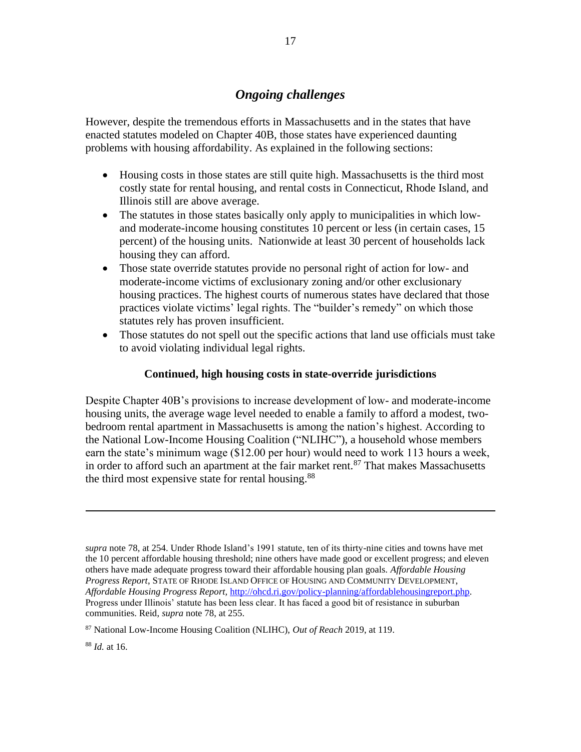## *Ongoing challenges*

However, despite the tremendous efforts in Massachusetts and in the states that have enacted statutes modeled on Chapter 40B, those states have experienced daunting problems with housing affordability. As explained in the following sections:

- Housing costs in those states are still quite high. Massachusetts is the third most costly state for rental housing, and rental costs in Connecticut, Rhode Island, and Illinois still are above average.
- The statutes in those states basically only apply to municipalities in which lowand moderate-income housing constitutes 10 percent or less (in certain cases, 15 percent) of the housing units. Nationwide at least 30 percent of households lack housing they can afford.
- Those state override statutes provide no personal right of action for low- and moderate-income victims of exclusionary zoning and/or other exclusionary housing practices. The highest courts of numerous states have declared that those practices violate victims' legal rights. The "builder's remedy" on which those statutes rely has proven insufficient.
- Those statutes do not spell out the specific actions that land use officials must take to avoid violating individual legal rights.

#### **Continued, high housing costs in state-override jurisdictions**

Despite Chapter 40B's provisions to increase development of low- and moderate-income housing units, the average wage level needed to enable a family to afford a modest, twobedroom rental apartment in Massachusetts is among the nation's highest. According to the National Low-Income Housing Coalition ("NLIHC"), a household whose members earn the state's minimum wage (\$12.00 per hour) would need to work 113 hours a week, in order to afford such an apartment at the fair market rent. $87$  That makes Massachusetts the third most expensive state for rental housing.<sup>88</sup>

*supra* note 78, at 254. Under Rhode Island's 1991 statute, ten of its thirty-nine cities and towns have met the 10 percent affordable housing threshold; nine others have made good or excellent progress; and eleven others have made adequate progress toward their affordable housing plan goals. *Affordable Housing Progress Report*, STATE OF RHODE ISLAND OFFICE OF HOUSING AND COMMUNITY DEVELOPMENT, *Affordable Housing Progress Report,* [http://ohcd.ri.gov/policy-planning/affordablehousingreport.php.](http://ohcd.ri.gov/policy-planning/affordablehousingreport.php) Progress under Illinois' statute has been less clear. It has faced a good bit of resistance in suburban communities. Reid, *supra* note 78, at 255.

<sup>87</sup> National Low-Income Housing Coalition (NLIHC), *Out of Reach* 2019, at 119.

<sup>88</sup> *Id.* at 16.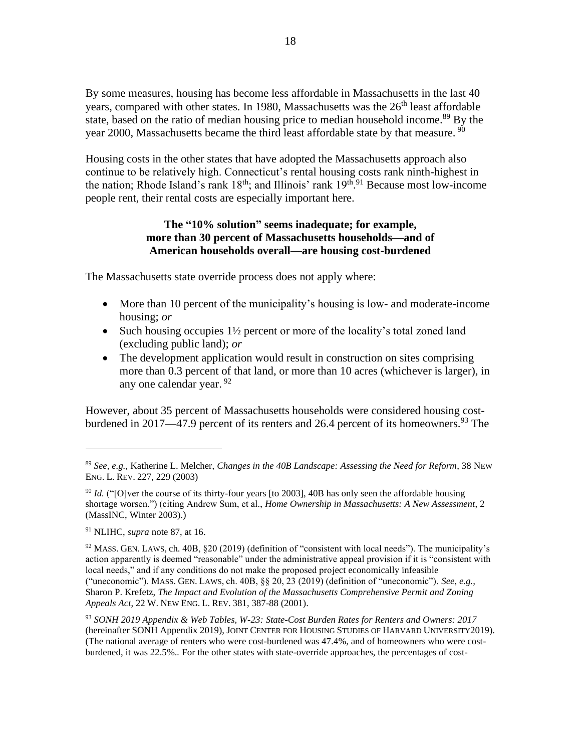By some measures, housing has become less affordable in Massachusetts in the last 40 years, compared with other states. In 1980, Massachusetts was the  $26<sup>th</sup>$  least affordable state, based on the ratio of median housing price to median household income.<sup>89</sup> By the year 2000, Massachusetts became the third least affordable state by that measure. <sup>90</sup>

Housing costs in the other states that have adopted the Massachusetts approach also continue to be relatively high. Connecticut's rental housing costs rank ninth-highest in the nation; Rhode Island's rank  $18<sup>th</sup>$ ; and Illinois' rank  $19<sup>th,91</sup>$  Because most low-income people rent, their rental costs are especially important here.

#### **The "10% solution" seems inadequate; for example, more than 30 percent of Massachusetts households—and of American households overall—are housing cost-burdened**

The Massachusetts state override process does not apply where:

- More than 10 percent of the municipality's housing is low- and moderate-income housing; *or*
- Such housing occupies 1<sup>1/2</sup> percent or more of the locality's total zoned land (excluding public land); *or*
- The development application would result in construction on sites comprising more than 0.3 percent of that land, or more than 10 acres (whichever is larger), in any one calendar year. 92

However, about 35 percent of Massachusetts households were considered housing costburdened in 2017—47.9 percent of its renters and 26.4 percent of its homeowners.<sup>93</sup> The

<sup>89</sup> *See, e.g.,* Katherine L. Melcher, *Changes in the 40B Landscape: Assessing the Need for Reform*, 38 NEW ENG. L. REV. 227, 229 (2003)

<sup>&</sup>lt;sup>90</sup> *Id.* ("[O]ver the course of its thirty-four years [to 2003], 40B has only seen the affordable housing shortage worsen.") (citing Andrew Sum, et al., *Home Ownership in Massachusetts: A New Assessment*, 2 (MassINC, Winter 2003).)

<sup>91</sup> NLIHC, *supra* note 87, at 16.

 $92$  MASS. GEN. LAWS, ch. 40B,  $\S 20$  (2019) (definition of "consistent with local needs"). The municipality's action apparently is deemed "reasonable" under the administrative appeal provision if it is "consistent with local needs," and if any conditions do not make the proposed project economically infeasible ("uneconomic"). MASS. GEN. LAWS, ch. 40B, §§ 20, 23 (2019) (definition of "uneconomic"). *See, e.g.,*  Sharon P. Krefetz, *The Impact and Evolution of the Massachusetts Comprehensive Permit and Zoning Appeals Act*, 22 W. NEW ENG. L. REV. 381, 387-88 (2001).

<sup>93</sup> *SONH 2019 Appendix & Web Tables, W-23: State-Cost Burden Rates for Renters and Owners: 2017* (hereinafter SONH Appendix 2019), JOINT CENTER FOR HOUSING STUDIES OF HARVARD UNIVERSITY2019). (The national average of renters who were cost-burdened was 47.4%, and of homeowners who were costburdened, it was 22.5%.*.* For the other states with state-override approaches, the percentages of cost-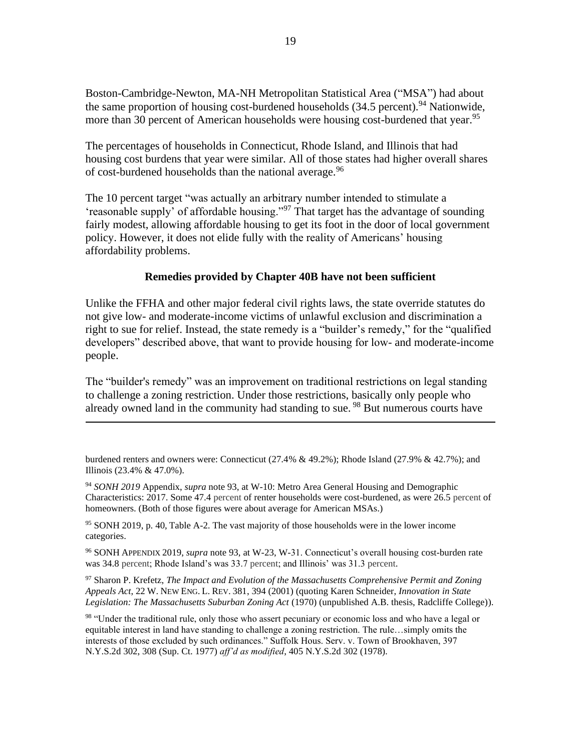Boston-Cambridge-Newton, MA-NH Metropolitan Statistical Area ("MSA") had about the same proportion of housing cost-burdened households  $(34.5 \text{ percent})$ .<sup>94</sup> Nationwide, more than 30 percent of American households were housing cost-burdened that year.<sup>95</sup>

The percentages of households in Connecticut, Rhode Island, and Illinois that had housing cost burdens that year were similar. All of those states had higher overall shares of cost-burdened households than the national average.<sup>96</sup>

The 10 percent target "was actually an arbitrary number intended to stimulate a 'reasonable supply' of affordable housing."<sup>97</sup> That target has the advantage of sounding fairly modest, allowing affordable housing to get its foot in the door of local government policy. However, it does not elide fully with the reality of Americans' housing affordability problems.

#### **Remedies provided by Chapter 40B have not been sufficient**

Unlike the FFHA and other major federal civil rights laws, the state override statutes do not give low- and moderate-income victims of unlawful exclusion and discrimination a right to sue for relief. Instead, the state remedy is a "builder's remedy," for the "qualified developers" described above, that want to provide housing for low- and moderate-income people.

The "builder's remedy" was an improvement on traditional restrictions on legal standing to challenge a zoning restriction. Under those restrictions, basically only people who already owned land in the community had standing to sue.<sup>98</sup> But numerous courts have

<sup>94</sup> *SONH 2019* Appendix, *supra* note 93, at W-10: Metro Area General Housing and Demographic Characteristics: 2017. Some 47.4 percent of renter households were cost-burdened, as were 26.5 percent of homeowners. (Both of those figures were about average for American MSAs.)

<sup>95</sup> SONH 2019, p. 40, Table A-2. The vast majority of those households were in the lower income categories.

<sup>96</sup> SONH APPENDIX 2019, *supra* note 93, at W-23, W-31. Connecticut's overall housing cost-burden rate was 34.8 percent; Rhode Island's was 33.7 percent; and Illinois' was 31.3 percent.

<sup>97</sup> Sharon P. Krefetz, *The Impact and Evolution of the Massachusetts Comprehensive Permit and Zoning Appeals Act*, 22 W. NEW ENG. L. REV. 381, 394 (2001) (quoting Karen Schneider, *Innovation in State Legislation: The Massachusetts Suburban Zoning Act* (1970) (unpublished A.B. thesis, Radcliffe College)).

burdened renters and owners were: Connecticut (27.4% & 49.2%); Rhode Island (27.9% & 42.7%); and Illinois (23.4% & 47.0%).

<sup>&</sup>lt;sup>98</sup> "Under the traditional rule, only those who assert pecuniary or economic loss and who have a legal or equitable interest in land have standing to challenge a zoning restriction. The rule…simply omits the interests of those excluded by such ordinances." Suffolk Hous. Serv. v. Town of Brookhaven, 397 N.Y.S.2d 302, 308 (Sup. Ct. 1977) *aff'd as modified*, 405 N.Y.S.2d 302 (1978).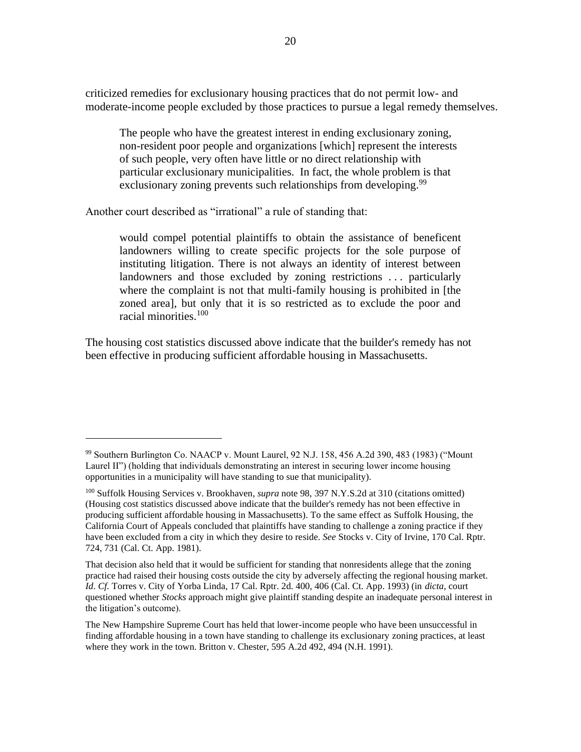criticized remedies for exclusionary housing practices that do not permit low- and moderate-income people excluded by those practices to pursue a legal remedy themselves.

The people who have the greatest interest in ending exclusionary zoning, non-resident poor people and organizations [which] represent the interests of such people, very often have little or no direct relationship with particular exclusionary municipalities. In fact, the whole problem is that exclusionary zoning prevents such relationships from developing.<sup>99</sup>

Another court described as "irrational" a rule of standing that:

would compel potential plaintiffs to obtain the assistance of beneficent landowners willing to create specific projects for the sole purpose of instituting litigation. There is not always an identity of interest between landowners and those excluded by zoning restrictions . . . particularly where the complaint is not that multi-family housing is prohibited in [the zoned area], but only that it is so restricted as to exclude the poor and racial minorities.<sup>100</sup>

The housing cost statistics discussed above indicate that the builder's remedy has not been effective in producing sufficient affordable housing in Massachusetts.

<sup>99</sup> Southern Burlington Co. NAACP v. Mount Laurel, 92 N.J. 158, 456 A.2d 390, 483 (1983) ("Mount Laurel II") (holding that individuals demonstrating an interest in securing lower income housing opportunities in a municipality will have standing to sue that municipality).

<sup>100</sup> Suffolk Housing Services v. Brookhaven, *supra* note 98, 397 N.Y.S.2d at 310 (citations omitted) (Housing cost statistics discussed above indicate that the builder's remedy has not been effective in producing sufficient affordable housing in Massachusetts). To the same effect as Suffolk Housing, the California Court of Appeals concluded that plaintiffs have standing to challenge a zoning practice if they have been excluded from a city in which they desire to reside. *See* Stocks v. City of Irvine, 170 Cal. Rptr. 724, 731 (Cal. Ct. App. 1981).

That decision also held that it would be sufficient for standing that nonresidents allege that the zoning practice had raised their housing costs outside the city by adversely affecting the regional housing market. *Id*. *Cf.* Torres v. City of Yorba Linda, 17 Cal. Rptr. 2d. 400, 406 (Cal. Ct. App. 1993) (in *dicta*, court questioned whether *Stocks* approach might give plaintiff standing despite an inadequate personal interest in the litigation's outcome).

The New Hampshire Supreme Court has held that lower-income people who have been unsuccessful in finding affordable housing in a town have standing to challenge its exclusionary zoning practices, at least where they work in the town. Britton v. Chester, 595 A.2d 492, 494 (N.H. 1991).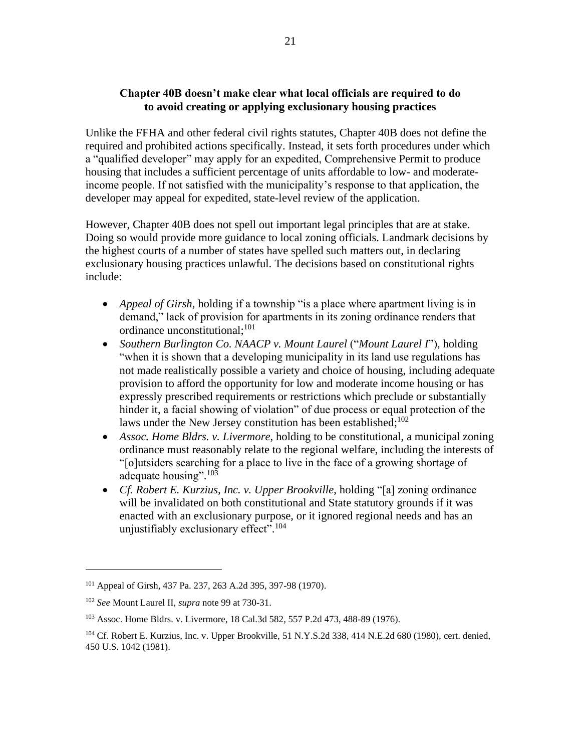#### **Chapter 40B doesn't make clear what local officials are required to do to avoid creating or applying exclusionary housing practices**

Unlike the FFHA and other federal civil rights statutes, Chapter 40B does not define the required and prohibited actions specifically. Instead, it sets forth procedures under which a "qualified developer" may apply for an expedited, Comprehensive Permit to produce housing that includes a sufficient percentage of units affordable to low- and moderateincome people. If not satisfied with the municipality's response to that application, the developer may appeal for expedited, state-level review of the application.

However, Chapter 40B does not spell out important legal principles that are at stake. Doing so would provide more guidance to local zoning officials. Landmark decisions by the highest courts of a number of states have spelled such matters out, in declaring exclusionary housing practices unlawful. The decisions based on constitutional rights include:

- *Appeal of Girsh*, holding if a township "is a place where apartment living is in demand," lack of provision for apartments in its zoning ordinance renders that ordinance unconstitutional;<sup>101</sup>
- *Southern Burlington Co. NAACP v. Mount Laurel* ("*Mount Laurel I*"), holding "when it is shown that a developing municipality in its land use regulations has not made realistically possible a variety and choice of housing, including adequate provision to afford the opportunity for low and moderate income housing or has expressly prescribed requirements or restrictions which preclude or substantially hinder it, a facial showing of violation" of due process or equal protection of the laws under the New Jersey constitution has been established;<sup>102</sup>
- *Assoc. Home Bldrs. v. Livermore*, holding to be constitutional, a municipal zoning ordinance must reasonably relate to the regional welfare, including the interests of "[o]utsiders searching for a place to live in the face of a growing shortage of adequate housing".<sup>103</sup>
- *Cf. Robert E. Kurzius, Inc. v. Upper Brookville*, holding "[a] zoning ordinance will be invalidated on both constitutional and State statutory grounds if it was enacted with an exclusionary purpose, or it ignored regional needs and has an unjustifiably exclusionary effect".<sup>104</sup>

<sup>101</sup> Appeal of Girsh, 437 Pa. 237, 263 A.2d 395, 397-98 (1970).

<sup>102</sup> *See* Mount Laurel II, *supra* note 99 at 730-31.

<sup>103</sup> Assoc. Home Bldrs. v. Livermore, 18 Cal.3d 582, 557 P.2d 473, 488-89 (1976).

<sup>104</sup> Cf. Robert E. Kurzius, Inc. v. Upper Brookville, 51 N.Y.S.2d 338, 414 N.E.2d 680 (1980), cert. denied, 450 U.S. 1042 (1981).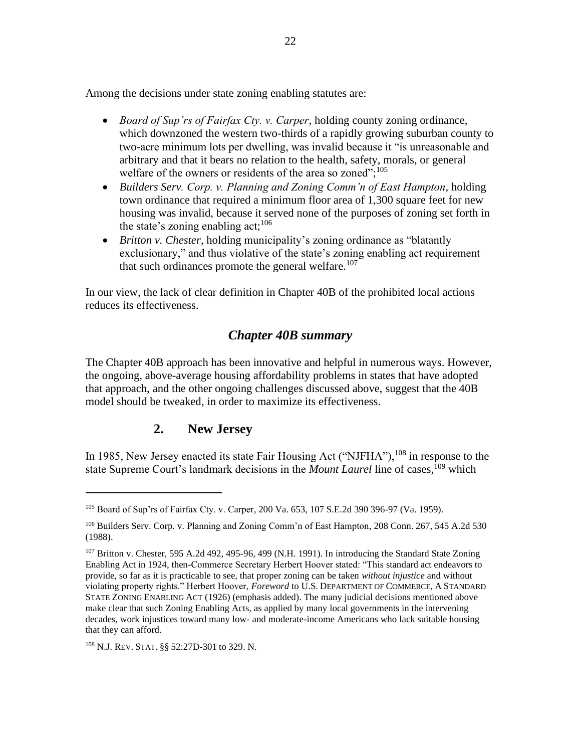Among the decisions under state zoning enabling statutes are:

- *Board of Sup'rs of Fairfax Cty. v. Carper*, holding county zoning ordinance, which downzoned the western two-thirds of a rapidly growing suburban county to two-acre minimum lots per dwelling, was invalid because it "is unreasonable and arbitrary and that it bears no relation to the health, safety, morals, or general welfare of the owners or residents of the area so zoned";<sup>105</sup>
- *Builders Serv. Corp. v. Planning and Zoning Comm'n of East Hampton*, holding town ordinance that required a minimum floor area of 1,300 square feet for new housing was invalid, because it served none of the purposes of zoning set forth in the state's zoning enabling act; $^{106}$
- *Britton v. Chester*, holding municipality's zoning ordinance as "blatantly exclusionary," and thus violative of the state's zoning enabling act requirement that such ordinances promote the general welfare.<sup>107</sup>

In our view, the lack of clear definition in Chapter 40B of the prohibited local actions reduces its effectiveness.

### *Chapter 40B summary*

The Chapter 40B approach has been innovative and helpful in numerous ways. However, the ongoing, above-average housing affordability problems in states that have adopted that approach, and the other ongoing challenges discussed above, suggest that the 40B model should be tweaked, in order to maximize its effectiveness.

## **2. New Jersey**

In 1985, New Jersey enacted its state Fair Housing Act ("NJFHA"),  $^{108}$  in response to the state Supreme Court's landmark decisions in the *Mount Laurel* line of cases.<sup>109</sup> which

<sup>108</sup> N.J. REV. STAT. §§ 52:27D-301 to 329. N.

<sup>105</sup> Board of Sup'rs of Fairfax Cty. v. Carper, 200 Va. 653, 107 S.E.2d 390 396-97 (Va. 1959).

<sup>106</sup> Builders Serv. Corp. v. Planning and Zoning Comm'n of East Hampton, 208 Conn. 267, 545 A.2d 530 (1988).

<sup>&</sup>lt;sup>107</sup> Britton v. Chester, 595 A.2d 492, 495-96, 499 (N.H. 1991). In introducing the Standard State Zoning Enabling Act in 1924, then-Commerce Secretary Herbert Hoover stated: "This standard act endeavors to provide, so far as it is practicable to see, that proper zoning can be taken *without injustice* and without violating property rights." Herbert Hoover, *Foreword* to U.S. DEPARTMENT OF COMMERCE, A STANDARD STATE ZONING ENABLING ACT (1926) (emphasis added). The many judicial decisions mentioned above make clear that such Zoning Enabling Acts, as applied by many local governments in the intervening decades, work injustices toward many low- and moderate-income Americans who lack suitable housing that they can afford.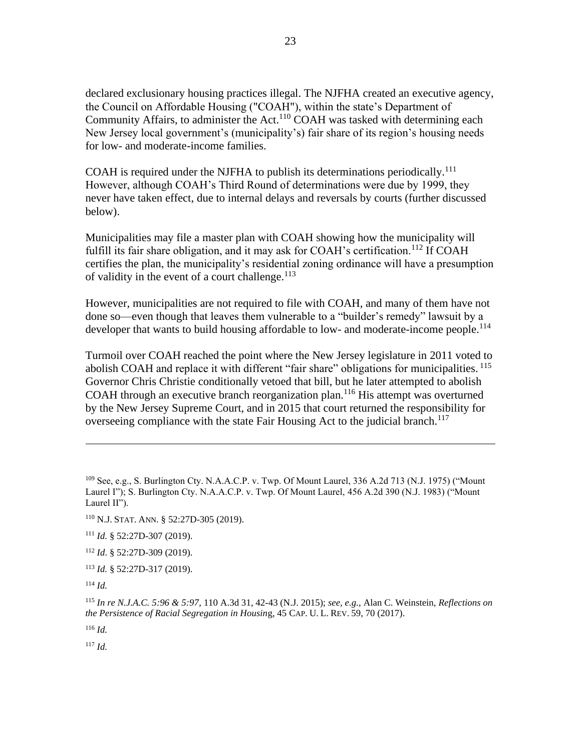declared exclusionary housing practices illegal. The NJFHA created an executive agency, the Council on Affordable Housing ("COAH"), within the state's Department of Community Affairs, to administer the Act.<sup>110</sup> COAH was tasked with determining each New Jersey local government's (municipality's) fair share of its region's housing needs for low- and moderate-income families.

COAH is required under the NJFHA to publish its determinations periodically.<sup>111</sup> However, although COAH's Third Round of determinations were due by 1999, they never have taken effect, due to internal delays and reversals by courts (further discussed below).

Municipalities may file a master plan with COAH showing how the municipality will fulfill its fair share obligation, and it may ask for COAH's certification.<sup>112</sup> If COAH certifies the plan, the municipality's residential zoning ordinance will have a presumption of validity in the event of a court challenge. $113$ 

However, municipalities are not required to file with COAH, and many of them have not done so—even though that leaves them vulnerable to a "builder's remedy" lawsuit by a developer that wants to build housing affordable to low- and moderate-income people.<sup>114</sup>

Turmoil over COAH reached the point where the New Jersey legislature in 2011 voted to abolish COAH and replace it with different "fair share" obligations for municipalities. 115 Governor Chris Christie conditionally vetoed that bill, but he later attempted to abolish COAH through an executive branch reorganization plan.<sup>116</sup> His attempt was overturned by the New Jersey Supreme Court, and in 2015 that court returned the responsibility for overseeing compliance with the state Fair Housing Act to the judicial branch.<sup>117</sup>

<sup>114</sup> *Id.*

<sup>115</sup> *In re N.J.A.C. 5:96 & 5:97*, 110 A.3d 31, 42-43 (N.J. 2015); *see, e.g.,* Alan C. Weinstein, *Reflections on the Persistence of Racial Segregation in Housin*g, 45 CAP. U. L. REV. 59, 70 (2017).

<sup>116</sup> *Id.*

<sup>117</sup> *Id.*

<sup>109</sup> See, e.g., S. Burlington Cty. N.A.A.C.P. v. Twp. Of Mount Laurel, 336 A.2d 713 (N.J. 1975) ("Mount Laurel I"); S. Burlington Cty. N.A.A.C.P. v. Twp. Of Mount Laurel, 456 A.2d 390 (N.J. 1983) ("Mount Laurel II").

<sup>110</sup> N.J. STAT. ANN. § 52:27D-305 (2019).

<sup>111</sup> *Id.* § 52:27D-307 (2019).

<sup>112</sup> *Id*. § 52:27D-309 (2019).

<sup>113</sup> *Id.* § 52:27D-317 (2019).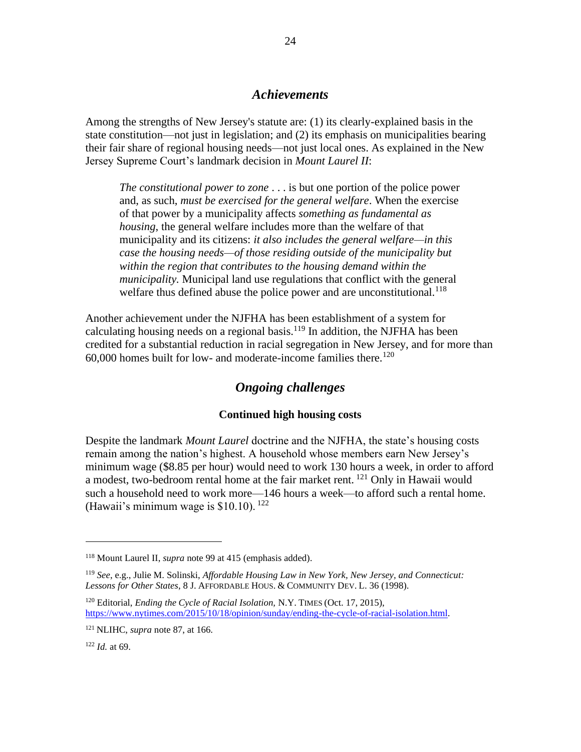#### *Achievements*

Among the strengths of New Jersey's statute are: (1) its clearly-explained basis in the state constitution—not just in legislation; and (2) its emphasis on municipalities bearing their fair share of regional housing needs—not just local ones. As explained in the New Jersey Supreme Court's landmark decision in *Mount Laurel II*:

*The constitutional power to zone* . . . is but one portion of the police power and, as such, *must be exercised for the general welfare*. When the exercise of that power by a municipality affects *something as fundamental as housing*, the general welfare includes more than the welfare of that municipality and its citizens: *it also includes the general welfare—in this case the housing needs—of those residing outside of the municipality but within the region that contributes to the housing demand within the municipality.* Municipal land use regulations that conflict with the general welfare thus defined abuse the police power and are unconstitutional.<sup>118</sup>

Another achievement under the NJFHA has been establishment of a system for calculating housing needs on a regional basis.<sup>119</sup> In addition, the NJFHA has been credited for a substantial reduction in racial segregation in New Jersey, and for more than  $60,000$  homes built for low- and moderate-income families there.<sup>120</sup>

### *Ongoing challenges*

#### **Continued high housing costs**

Despite the landmark *Mount Laurel* doctrine and the NJFHA, the state's housing costs remain among the nation's highest. A household whose members earn New Jersey's minimum wage (\$8.85 per hour) would need to work 130 hours a week, in order to afford a modest, two-bedroom rental home at the fair market rent. <sup>121</sup> Only in Hawaii would such a household need to work more—146 hours a week—to afford such a rental home. (Hawaii's minimum wage is  $$10.10$ ). <sup>122</sup>

<sup>118</sup> Mount Laurel II, *supra* note 99 at 415 (emphasis added).

<sup>119</sup> *See*, e.g., Julie M. Solinski, *Affordable Housing Law in New York, New Jersey, and Connecticut: Lessons for Other States*, 8 J. AFFORDABLE HOUS. & COMMUNITY DEV. L. 36 (1998).

<sup>120</sup> Editorial, *Ending the Cycle of Racial Isolation,* N.Y. TIMES (Oct. 17, 2015), [https://www.nytimes.com/2015/10/18/opinion/sunday/ending-the-cycle-of-racial-isolation.html.](https://www.nytimes.com/2015/10/18/opinion/sunday/ending-the-cycle-of-racial-isolation.html)

<sup>121</sup> NLIHC, *supra* note 87, at 166.

<sup>122</sup> *Id.* at 69.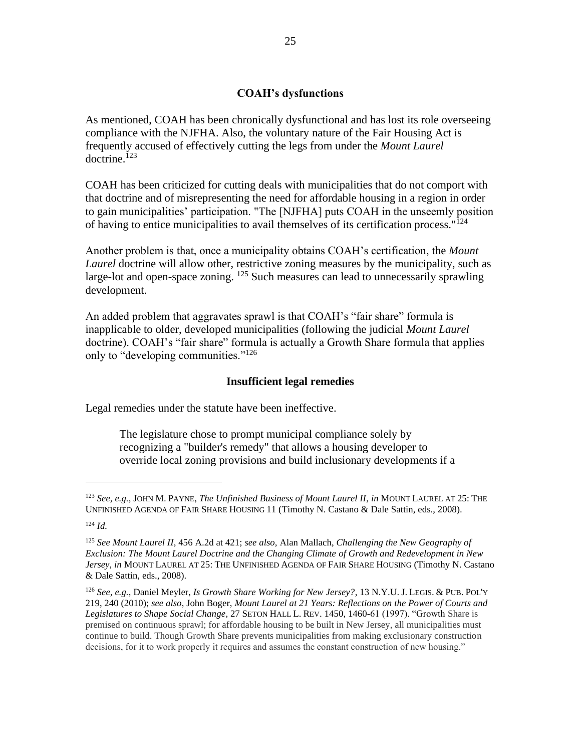#### **COAH's dysfunctions**

As mentioned, COAH has been chronically dysfunctional and has lost its role overseeing compliance with the NJFHA. Also, the voluntary nature of the Fair Housing Act is frequently accused of effectively cutting the legs from under the *Mount Laurel* doctrine.<sup>123</sup>

COAH has been criticized for cutting deals with municipalities that do not comport with that doctrine and of misrepresenting the need for affordable housing in a region in order to gain municipalities' participation. "The [NJFHA] puts COAH in the unseemly position of having to entice municipalities to avail themselves of its certification process."<sup>124</sup>

Another problem is that, once a municipality obtains COAH's certification, the *Mount Laurel* doctrine will allow other, restrictive zoning measures by the municipality, such as large-lot and open-space zoning.  $125$  Such measures can lead to unnecessarily sprawling development.

An added problem that aggravates sprawl is that COAH's "fair share" formula is inapplicable to older, developed municipalities (following the judicial *Mount Laurel* doctrine). COAH's "fair share" formula is actually a Growth Share formula that applies only to "developing communities."<sup>126</sup>

#### **Insufficient legal remedies**

Legal remedies under the statute have been ineffective.

The legislature chose to prompt municipal compliance solely by recognizing a "builder's remedy" that allows a housing developer to override local zoning provisions and build inclusionary developments if a

<sup>123</sup> *See, e.g.,* JOHN M. PAYNE, *The Unfinished Business of Mount Laurel II*, *in* MOUNT LAUREL AT 25: THE UNFINISHED AGENDA OF FAIR SHARE HOUSING 11 (Timothy N. Castano & Dale Sattin, eds., 2008).

<sup>124</sup> *Id.*

<sup>125</sup> *See Mount Laurel II*, 456 A.2d at 421; *see also*, Alan Mallach, *Challenging the New Geography of Exclusion: The Mount Laurel Doctrine and the Changing Climate of Growth and Redevelopment in New Jersey*, *in* MOUNT LAUREL AT 25: THE UNFINISHED AGENDA OF FAIR SHARE HOUSING (Timothy N. Castano & Dale Sattin, eds., 2008).

<sup>126</sup> *See, e.g.,* Daniel Meyler, *Is Growth Share Working for New Jersey?*, 13 N.Y.U. J. LEGIS. & PUB. POL'Y 219, 240 (2010); *see also*, John Boger, *Mount Laurel at 21 Years: Reflections on the Power of Courts and Legislatures to Shape Social Change*, 27 SETON HALL L. REV. 1450, 1460-61 (1997). "Growth Share is premised on continuous sprawl; for affordable housing to be built in New Jersey, all municipalities must continue to build. Though Growth Share prevents municipalities from making exclusionary construction decisions, for it to work properly it requires and assumes the constant construction of new housing."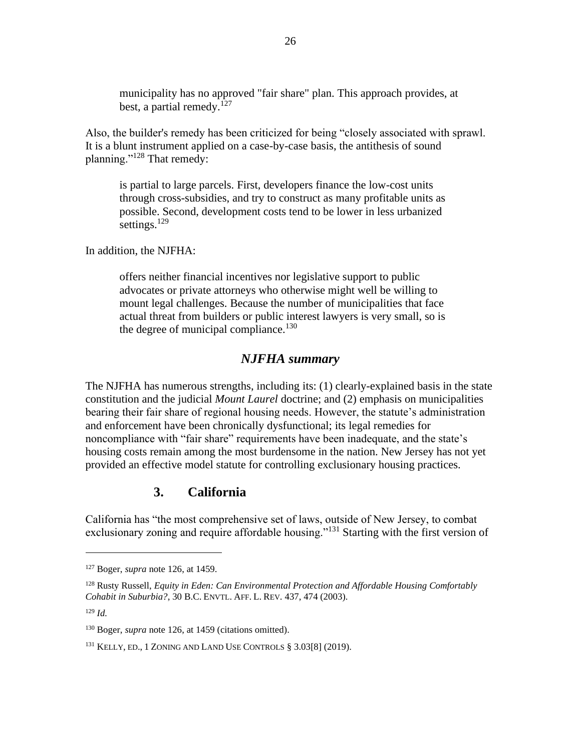municipality has no approved "fair share" plan. This approach provides, at best, a partial remedy.<sup>127</sup>

Also, the builder's remedy has been criticized for being "closely associated with sprawl. It is a blunt instrument applied on a case-by-case basis, the antithesis of sound planning."<sup>128</sup> That remedy:

is partial to large parcels. First, developers finance the low-cost units through cross-subsidies, and try to construct as many profitable units as possible. Second, development costs tend to be lower in less urbanized settings. $129$ 

In addition, the NJFHA:

offers neither financial incentives nor legislative support to public advocates or private attorneys who otherwise might well be willing to mount legal challenges. Because the number of municipalities that face actual threat from builders or public interest lawyers is very small, so is the degree of municipal compliance. $130$ 

### *NJFHA summary*

The NJFHA has numerous strengths, including its: (1) clearly-explained basis in the state constitution and the judicial *Mount Laurel* doctrine; and (2) emphasis on municipalities bearing their fair share of regional housing needs. However, the statute's administration and enforcement have been chronically dysfunctional; its legal remedies for noncompliance with "fair share" requirements have been inadequate, and the state's housing costs remain among the most burdensome in the nation. New Jersey has not yet provided an effective model statute for controlling exclusionary housing practices.

## **3. California**

California has "the most comprehensive set of laws, outside of New Jersey, to combat exclusionary zoning and require affordable housing."<sup>131</sup> Starting with the first version of

<sup>129</sup> *Id.*

<sup>127</sup> Boger, *supra* note 126, at 1459.

<sup>128</sup> Rusty Russell, *Equity in Eden: Can Environmental Protection and Affordable Housing Comfortably Cohabit in Suburbia?*, 30 B.C. ENVTL. AFF. L. REV. 437, 474 (2003).

<sup>130</sup> Boger, *supra* note 126, at 1459 (citations omitted).

<sup>131</sup> KELLY, ED., 1 ZONING AND LAND USE CONTROLS § 3.03[8] (2019).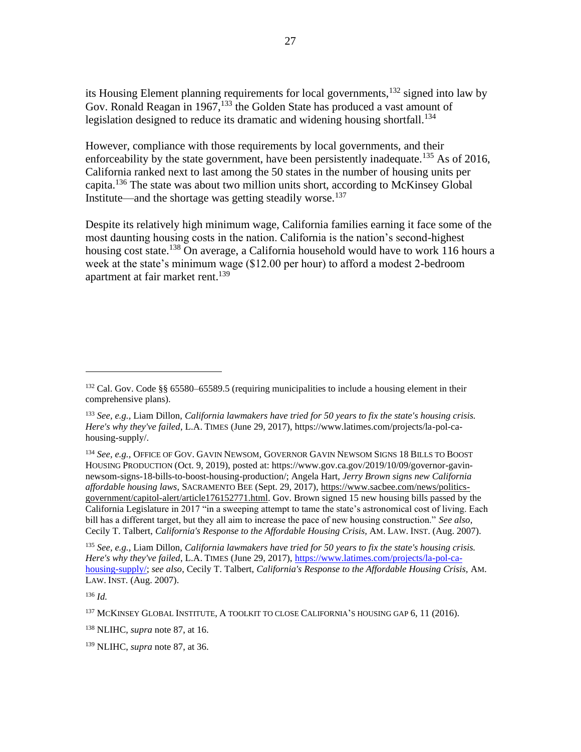its Housing Element planning requirements for local governments,<sup>132</sup> signed into law by Gov. Ronald Reagan in 1967,<sup>133</sup> the Golden State has produced a vast amount of legislation designed to reduce its dramatic and widening housing shortfall.<sup>134</sup>

However, compliance with those requirements by local governments, and their enforceability by the state government, have been persistently inadequate.<sup>135</sup> As of 2016, California ranked next to last among the 50 states in the number of housing units per capita.<sup>136</sup> The state was about two million units short, according to McKinsey Global Institute—and the shortage was getting steadily worse.<sup>137</sup>

Despite its relatively high minimum wage, California families earning it face some of the most daunting housing costs in the nation. California is the nation's second-highest housing cost state.<sup>138</sup> On average, a California household would have to work 116 hours a week at the state's minimum wage (\$12.00 per hour) to afford a modest 2-bedroom apartment at fair market rent. 139

<sup>136</sup> *Id.*

 $132$  Cal. Gov. Code §§ 65580–65589.5 (requiring municipalities to include a housing element in their comprehensive plans).

<sup>133</sup> *See, e.g.,* Liam Dillon, *California lawmakers have tried for 50 years to fix the state's housing crisis. Here's why they've failed*, L.A. TIMES (June 29, 2017), https://www.latimes.com/projects/la-pol-cahousing-supply/.

<sup>134</sup> *See, e.g.*, OFFICE OF GOV. GAVIN NEWSOM*,* GOVERNOR GAVIN NEWSOM SIGNS 18 BILLS TO BOOST HOUSING PRODUCTION (Oct. 9, 2019), posted at: https://www.gov.ca.gov/2019/10/09/governor-gavinnewsom-signs-18-bills-to-boost-housing-production/; Angela Hart, *Jerry Brown signs new California affordable housing laws*, SACRAMENTO BEE (Sept. 29, 2017), [https://www.sacbee.com/news/politics](https://www.sacbee.com/news/politics-government/capitol-alert/article176152771.html)[government/capitol-alert/article176152771.html.](https://www.sacbee.com/news/politics-government/capitol-alert/article176152771.html) Gov. Brown signed 15 new housing bills passed by the California Legislature in 2017 "in a sweeping attempt to tame the state's astronomical cost of living. Each bill has a different target, but they all aim to increase the pace of new housing construction." *See also*, Cecily T. Talbert, *California's Response to the Affordable Housing Crisis,* AM. LAW. INST. (Aug. 2007).

<sup>135</sup> *See, e.g.,* Liam Dillon, *California lawmakers have tried for 50 years to fix the state's housing crisis. Here's why they've failed*, L.A. TIMES (June 29, 2017)[, https://www.latimes.com/projects/la-pol-ca](https://www.latimes.com/projects/la-pol-ca-housing-supply/)[housing-supply/;](https://www.latimes.com/projects/la-pol-ca-housing-supply/) *see also*, Cecily T. Talbert, *California's Response to the Affordable Housing Crisis,* AM. LAW. INST. (Aug. 2007).

<sup>137</sup> MCKINSEY GLOBAL INSTITUTE, A TOOLKIT TO CLOSE CALIFORNIA'S HOUSING GAP 6, 11 (2016).

<sup>138</sup> NLIHC, *supra* note 87, at 16.

<sup>139</sup> NLIHC, *supra* note 87, at 36.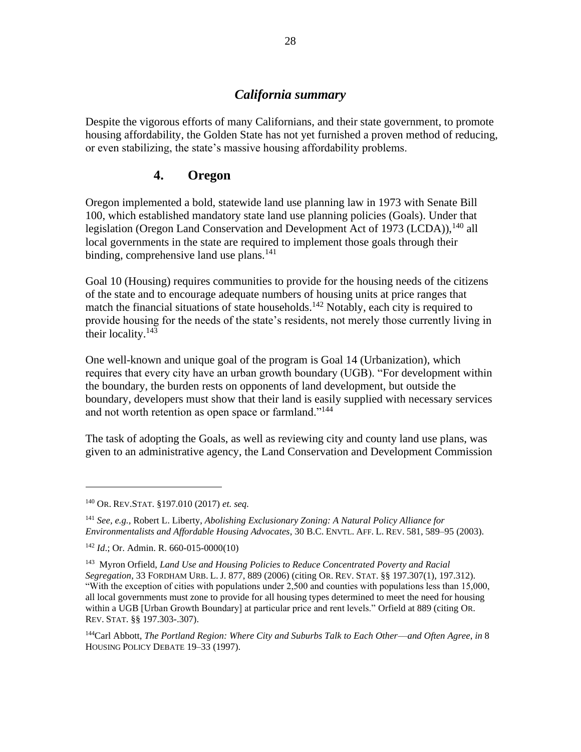#### *California summary*

Despite the vigorous efforts of many Californians, and their state government, to promote housing affordability, the Golden State has not yet furnished a proven method of reducing, or even stabilizing, the state's massive housing affordability problems.

### **4. Oregon**

Oregon implemented a bold, statewide land use planning law in 1973 with Senate Bill 100, which established mandatory state land use planning policies (Goals). Under that legislation (Oregon Land Conservation and Development Act of 1973 (LCDA)),  $^{140}$  all local governments in the state are required to implement those goals through their binding, comprehensive land use plans.<sup>141</sup>

Goal 10 (Housing) requires communities to provide for the housing needs of the citizens of the state and to encourage adequate numbers of housing units at price ranges that match the financial situations of state households.<sup>142</sup> Notably, each city is required to provide housing for the needs of the state's residents, not merely those currently living in their locality.<sup>143</sup>

One well-known and unique goal of the program is Goal 14 (Urbanization), which requires that every city have an urban growth boundary (UGB). "For development within the boundary, the burden rests on opponents of land development, but outside the boundary, developers must show that their land is easily supplied with necessary services and not worth retention as open space or farmland."<sup>144</sup>

The task of adopting the Goals, as well as reviewing city and county land use plans, was given to an administrative agency, the Land Conservation and Development Commission

<sup>140</sup> OR. REV.STAT. §197.010 (2017) *et. seq.*

<sup>141</sup> *See, e.g.,* Robert L. Liberty, *Abolishing Exclusionary Zoning: A Natural Policy Alliance for Environmentalists and Affordable Housing Advocates*, 30 B.C. ENVTL. AFF. L. REV. 581, 589–95 (2003).

<sup>142</sup> *Id*.; Or. Admin. R. 660-015-0000(10)

<sup>&</sup>lt;sup>143</sup> Myron Orfield, *Land Use and Housing Policies to Reduce Concentrated Poverty and Racial Segregation*, 33 FORDHAM URB. L. J. 877, 889 (2006) (citing OR. REV. STAT. §§ 197.307(1), 197.312). "With the exception of cities with populations under 2,500 and counties with populations less than 15,000, all local governments must zone to provide for all housing types determined to meet the need for housing within a UGB [Urban Growth Boundary] at particular price and rent levels." Orfield at 889 (citing OR. REV. STAT. §§ 197.303-.307).

<sup>144</sup>Carl Abbott, *The Portland Region: Where City and Suburbs Talk to Each Other––and Often Agree*, *in* 8 HOUSING POLICY DEBATE 19–33 (1997).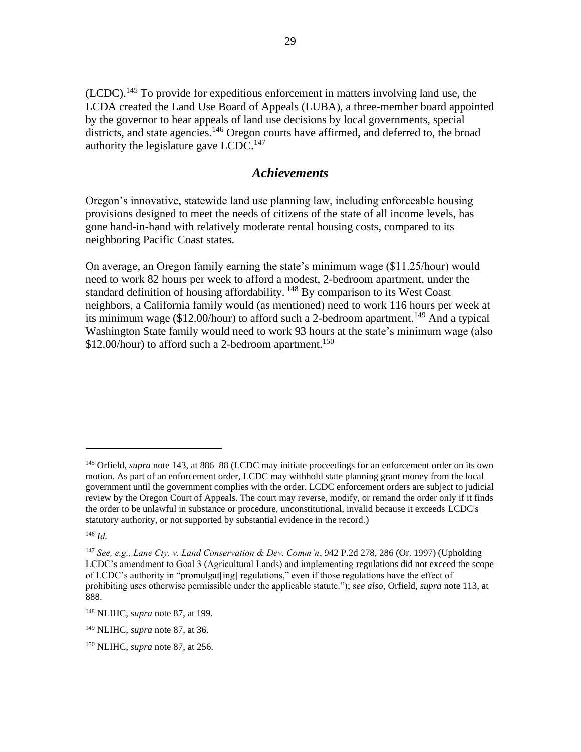(LCDC).<sup>145</sup> To provide for expeditious enforcement in matters involving land use, the LCDA created the Land Use Board of Appeals (LUBA), a three-member board appointed by the governor to hear appeals of land use decisions by local governments, special districts, and state agencies.<sup>146</sup> Oregon courts have affirmed, and deferred to, the broad authority the legislature gave LCDC.<sup>147</sup>

#### *Achievements*

Oregon's innovative, statewide land use planning law, including enforceable housing provisions designed to meet the needs of citizens of the state of all income levels, has gone hand-in-hand with relatively moderate rental housing costs, compared to its neighboring Pacific Coast states.

On average, an Oregon family earning the state's minimum wage (\$11.25/hour) would need to work 82 hours per week to afford a modest, 2-bedroom apartment, under the standard definition of housing affordability. <sup>148</sup> By comparison to its West Coast neighbors, a California family would (as mentioned) need to work 116 hours per week at its minimum wage (\$12.00/hour) to afford such a 2-bedroom apartment.<sup>149</sup> And a typical Washington State family would need to work 93 hours at the state's minimum wage (also \$12.00/hour) to afford such a 2-bedroom apartment.<sup>150</sup>

<sup>146</sup> *Id.*

<sup>145</sup> Orfield, *supra* note 143, at 886–88 (LCDC may initiate proceedings for an enforcement order on its own motion. As part of an enforcement order, LCDC may withhold state planning grant money from the local government until the government complies with the order. LCDC enforcement orders are subject to judicial review by the Oregon Court of Appeals. The court may reverse, modify, or remand the order only if it finds the order to be unlawful in substance or procedure, unconstitutional, invalid because it exceeds LCDC's statutory authority, or not supported by substantial evidence in the record.)

<sup>147</sup> *See, e.g., Lane Cty. v. Land Conservation & Dev. Comm'n*, 942 P.2d 278, 286 (Or. 1997) (Upholding LCDC's amendment to Goal 3 (Agricultural Lands) and implementing regulations did not exceed the scope of LCDC's authority in "promulgat[ing] regulations," even if those regulations have the effect of prohibiting uses otherwise permissible under the applicable statute."); s*ee also*, Orfield, *supra* note 113, at 888.

<sup>148</sup> NLIHC, *supra* note 87, at 199.

<sup>149</sup> NLIHC, *supra* note 87, at 36.

<sup>150</sup> NLIHC, *supra* note 87, at 256.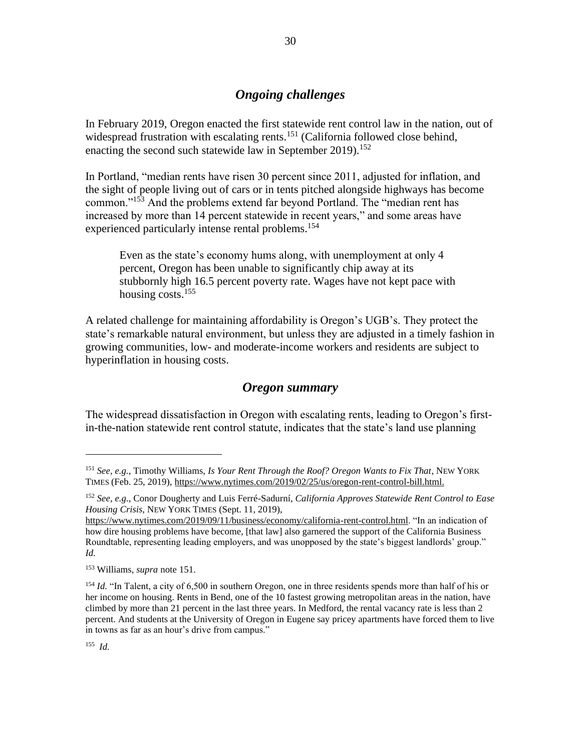## *Ongoing challenges*

In February 2019, Oregon enacted the first statewide rent control law in the nation, out of widespread frustration with escalating rents.<sup>151</sup> (California followed close behind, enacting the second such statewide law in September 2019).<sup>152</sup>

In Portland, "median rents have risen 30 percent since 2011, adjusted for inflation, and the sight of people living out of cars or in tents pitched alongside highways has become common."<sup>153</sup> And the problems extend far beyond Portland. The "median rent has increased by more than 14 percent statewide in recent years," and some areas have experienced particularly intense rental problems.<sup>154</sup>

Even as the state's economy hums along, with unemployment at only 4 percent, Oregon has been unable to significantly chip away at its stubbornly high 16.5 percent poverty rate. Wages have not kept pace with housing costs.<sup>155</sup>

A related challenge for maintaining affordability is Oregon's UGB's. They protect the state's remarkable natural environment, but unless they are adjusted in a timely fashion in growing communities, low- and moderate-income workers and residents are subject to hyperinflation in housing costs.

## *Oregon summary*

The widespread dissatisfaction in Oregon with escalating rents, leading to Oregon's firstin-the-nation statewide rent control statute, indicates that the state's land use planning

155  *Id.*

<sup>151</sup> *See, e.g.*, Timothy Williams, *Is Your Rent Through the Roof? Oregon Wants to Fix That*, NEW YORK TIMES (Feb. 25, 2019), [https://www.nytimes.com/2019/02/25/us/oregon-rent-control-bill.html.](https://www.nytimes.com/2019/02/25/us/oregon-rent-control-bill.html)

<sup>152</sup> *See, e.g.*, Conor Dougherty and Luis Ferré-Sadurní, *California Approves Statewide Rent Control to Ease Housing Crisis,* NEW YORK TIMES (Sept. 11, 2019),

[https://www.nytimes.com/2019/09/11/business/economy/california-rent-control.html.](https://www.nytimes.com/2019/09/11/business/economy/california-rent-control.html) "In an indication of how dire housing problems have become, [that law] also garnered the support of the California Business Roundtable, representing leading employers, and was unopposed by the state's biggest landlords' group." *Id.*

<sup>153</sup> Williams, *supra* note 151.

<sup>&</sup>lt;sup>154</sup> *Id.* "In Talent, a city of 6,500 in southern Oregon, one in three residents spends more than half of his or her income on housing. Rents in Bend, one of the 10 fastest growing metropolitan areas in the nation, have climbed by more than 21 percent in the last three years. In Medford, the rental vacancy rate is less than 2 percent. And students at the University of Oregon in Eugene say pricey apartments have forced them to live in towns as far as an hour's drive from campus."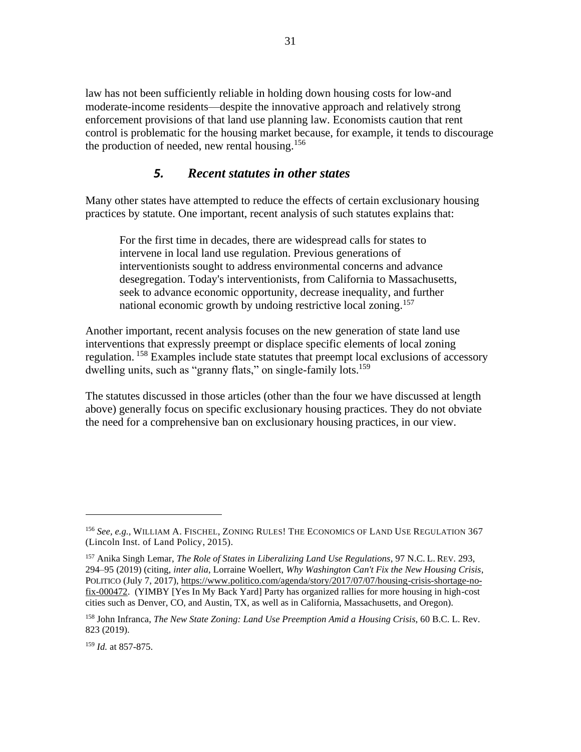law has not been sufficiently reliable in holding down housing costs for low-and moderate-income residents—despite the innovative approach and relatively strong enforcement provisions of that land use planning law. Economists caution that rent control is problematic for the housing market because, for example, it tends to discourage the production of needed, new rental housing.<sup>156</sup>

## *5. Recent statutes in other states*

Many other states have attempted to reduce the effects of certain exclusionary housing practices by statute. One important, recent analysis of such statutes explains that:

For the first time in decades, there are widespread calls for states to intervene in local land use regulation. Previous generations of interventionists sought to address environmental concerns and advance desegregation. Today's interventionists, from California to Massachusetts, seek to advance economic opportunity, decrease inequality, and further national economic growth by undoing restrictive local zoning.<sup>157</sup>

Another important, recent analysis focuses on the new generation of state land use interventions that expressly preempt or displace specific elements of local zoning regulation. <sup>158</sup> Examples include state statutes that preempt local exclusions of accessory dwelling units, such as "granny flats," on single-family lots.<sup>159</sup>

The statutes discussed in those articles (other than the four we have discussed at length above) generally focus on specific exclusionary housing practices. They do not obviate the need for a comprehensive ban on exclusionary housing practices, in our view.

<sup>156</sup> *See, e.g.,* WILLIAM A. FISCHEL, ZONING RULES! THE ECONOMICS OF LAND USE REGULATION 367 (Lincoln Inst. of Land Policy, 2015).

<sup>157</sup> Anika Singh Lemar, *The Role of States in Liberalizing Land Use Regulations*, 97 N.C. L. REV. 293, 294–95 (2019) (citing, *inter alia*, Lorraine Woellert, *Why Washington Can't Fix the New Housing Crisis*, POLITICO (July 7, 2017), [https://www.politico.com/agenda/story/2017/07/07/housing-crisis-shortage-no](https://www.politico.com/agenda/story/2017/07/07/housing-crisis-shortage-no-fix-000472)[fix-000472.](https://www.politico.com/agenda/story/2017/07/07/housing-crisis-shortage-no-fix-000472) (YIMBY [Yes In My Back Yard] Party has organized rallies for more housing in high-cost cities such as Denver, CO, and Austin, TX, as well as in California, Massachusetts, and Oregon).

<sup>158</sup> John Infranca, *The New State Zoning: Land Use Preemption Amid a Housing Crisis*, 60 B.C. L. Rev. 823 (2019).

<sup>159</sup> *Id.* at 857-875.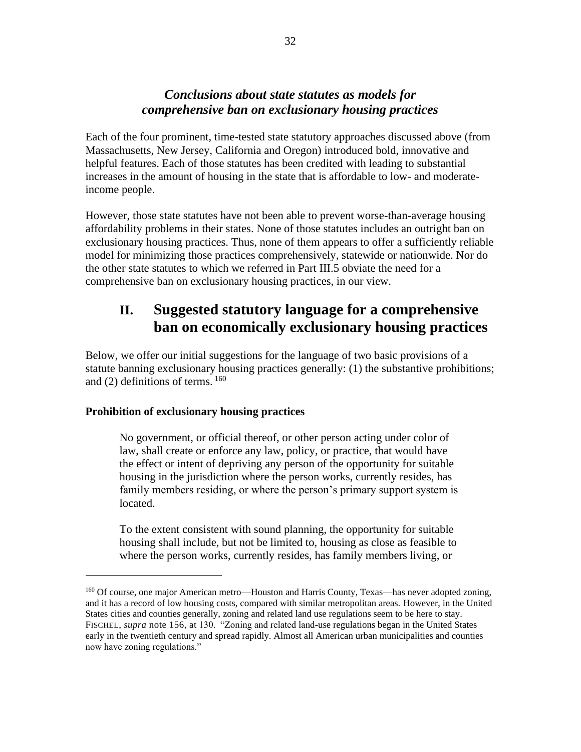## *Conclusions about state statutes as models for comprehensive ban on exclusionary housing practices*

Each of the four prominent, time-tested state statutory approaches discussed above (from Massachusetts, New Jersey, California and Oregon) introduced bold, innovative and helpful features. Each of those statutes has been credited with leading to substantial increases in the amount of housing in the state that is affordable to low- and moderateincome people.

However, those state statutes have not been able to prevent worse-than-average housing affordability problems in their states. None of those statutes includes an outright ban on exclusionary housing practices. Thus, none of them appears to offer a sufficiently reliable model for minimizing those practices comprehensively, statewide or nationwide. Nor do the other state statutes to which we referred in Part III.5 obviate the need for a comprehensive ban on exclusionary housing practices, in our view.

# **II. Suggested statutory language for a comprehensive ban on economically exclusionary housing practices**

Below, we offer our initial suggestions for the language of two basic provisions of a statute banning exclusionary housing practices generally: (1) the substantive prohibitions; and (2) definitions of terms. <sup>160</sup>

#### **Prohibition of exclusionary housing practices**

No government, or official thereof, or other person acting under color of law, shall create or enforce any law, policy, or practice, that would have the effect or intent of depriving any person of the opportunity for suitable housing in the jurisdiction where the person works, currently resides, has family members residing, or where the person's primary support system is located.

To the extent consistent with sound planning, the opportunity for suitable housing shall include, but not be limited to, housing as close as feasible to where the person works, currently resides, has family members living, or

<sup>&</sup>lt;sup>160</sup> Of course, one major American metro—Houston and Harris County, Texas—has never adopted zoning, and it has a record of low housing costs, compared with similar metropolitan areas. However, in the United States cities and counties generally, zoning and related land use regulations seem to be here to stay. FISCHEL, *supra* note 156, at 130. "Zoning and related land-use regulations began in the United States early in the twentieth century and spread rapidly. Almost all American urban municipalities and counties now have zoning regulations."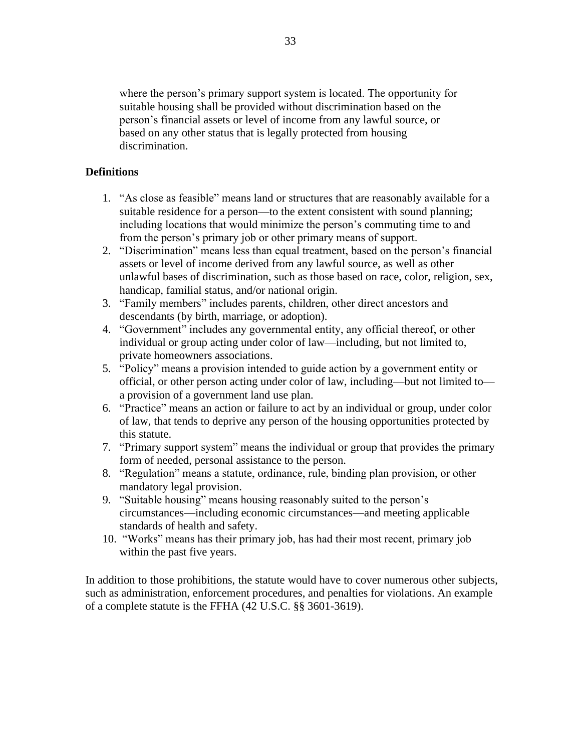where the person's primary support system is located. The opportunity for suitable housing shall be provided without discrimination based on the person's financial assets or level of income from any lawful source, or based on any other status that is legally protected from housing discrimination.

#### **Definitions**

- 1. "As close as feasible" means land or structures that are reasonably available for a suitable residence for a person—to the extent consistent with sound planning; including locations that would minimize the person's commuting time to and from the person's primary job or other primary means of support.
- 2. "Discrimination" means less than equal treatment, based on the person's financial assets or level of income derived from any lawful source, as well as other unlawful bases of discrimination, such as those based on race, color, religion, sex, handicap, familial status, and/or national origin.
- 3. "Family members" includes parents, children, other direct ancestors and descendants (by birth, marriage, or adoption).
- 4. "Government" includes any governmental entity, any official thereof, or other individual or group acting under color of law—including, but not limited to, private homeowners associations.
- 5. "Policy" means a provision intended to guide action by a government entity or official, or other person acting under color of law, including—but not limited to a provision of a government land use plan.
- 6. "Practice" means an action or failure to act by an individual or group, under color of law, that tends to deprive any person of the housing opportunities protected by this statute.
- 7. "Primary support system" means the individual or group that provides the primary form of needed, personal assistance to the person.
- 8. "Regulation" means a statute, ordinance, rule, binding plan provision, or other mandatory legal provision.
- 9. "Suitable housing" means housing reasonably suited to the person's circumstances—including economic circumstances—and meeting applicable standards of health and safety.
- 10. "Works" means has their primary job, has had their most recent, primary job within the past five years.

In addition to those prohibitions, the statute would have to cover numerous other subjects, such as administration, enforcement procedures, and penalties for violations. An example of a complete statute is the FFHA (42 U.S.C. §§ 3601-3619).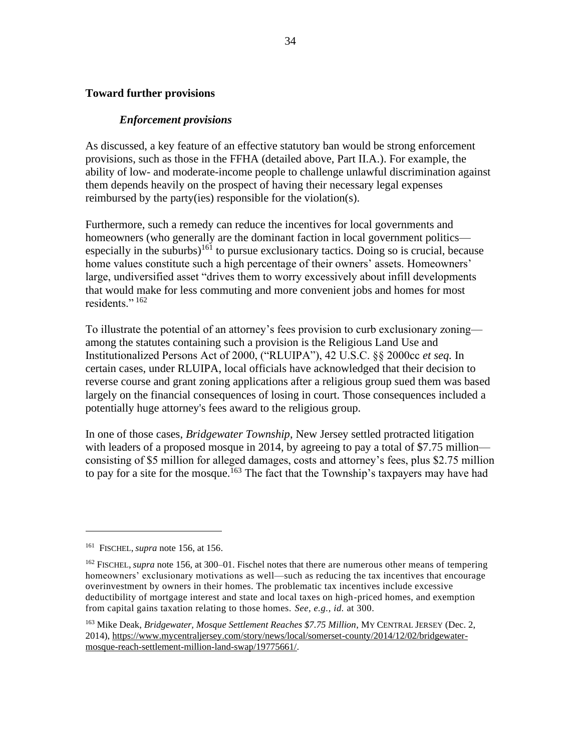#### **Toward further provisions**

#### *Enforcement provisions*

As discussed, a key feature of an effective statutory ban would be strong enforcement provisions, such as those in the FFHA (detailed above, Part II.A.). For example, the ability of low- and moderate-income people to challenge unlawful discrimination against them depends heavily on the prospect of having their necessary legal expenses reimbursed by the party(ies) responsible for the violation(s).

Furthermore, such a remedy can reduce the incentives for local governments and homeowners (who generally are the dominant faction in local government politics especially in the suburbs)<sup>161</sup> to pursue exclusionary tactics. Doing so is crucial, because home values constitute such a high percentage of their owners' assets. Homeowners' large, undiversified asset "drives them to worry excessively about infill developments that would make for less commuting and more convenient jobs and homes for most residents." $162$ 

To illustrate the potential of an attorney's fees provision to curb exclusionary zoning among the statutes containing such a provision is the Religious Land Use and Institutionalized Persons Act of 2000, ("RLUIPA"), 42 U.S.C. §§ 2000cc *et seq.* In certain cases, under RLUIPA, local officials have acknowledged that their decision to reverse course and grant zoning applications after a religious group sued them was based largely on the financial consequences of losing in court. Those consequences included a potentially huge attorney's fees award to the religious group.

In one of those cases, *Bridgewater Township*, New Jersey settled protracted litigation with leaders of a proposed mosque in 2014, by agreeing to pay a total of \$7.75 million consisting of \$5 million for alleged damages, costs and attorney's fees, plus \$2.75 million to pay for a site for the mosque.<sup>163</sup> The fact that the Township's taxpayers may have had

<sup>161</sup> FISCHEL, *supra* note 156, at 156.

<sup>162</sup> FISCHEL, *supra* note 156, at 300–01. Fischel notes that there are numerous other means of tempering homeowners' exclusionary motivations as well—such as reducing the tax incentives that encourage overinvestment by owners in their homes. The problematic tax incentives include excessive deductibility of mortgage interest and state and local taxes on high-priced homes, and exemption from capital gains taxation relating to those homes. *See, e.g., id.* at 300.

<sup>163</sup> Mike Deak, *Bridgewater, Mosque Settlement Reaches \$7.75 Million*, MY CENTRAL JERSEY (Dec. 2, 2014), [https://www.mycentraljersey.com/story/news/local/somerset-county/2014/12/02/bridgewater](https://www.mycentraljersey.com/story/news/local/somerset-county/2014/12/02/bridgewater-mosque-reach-settlement-million-land-swap/19775661/)[mosque-reach-settlement-million-land-swap/19775661/.](https://www.mycentraljersey.com/story/news/local/somerset-county/2014/12/02/bridgewater-mosque-reach-settlement-million-land-swap/19775661/)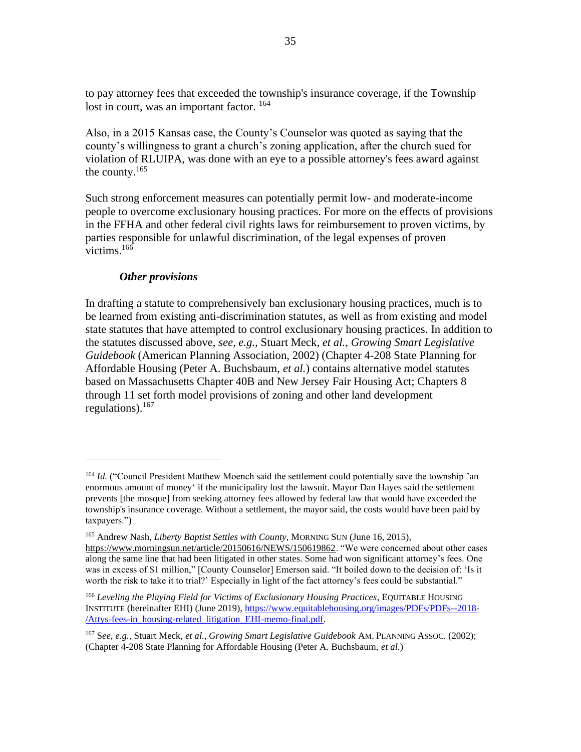to pay attorney fees that exceeded the township's insurance coverage, if the Township lost in court, was an important factor. <sup>164</sup>

Also, in a 2015 Kansas case, the County's Counselor was quoted as saying that the county's willingness to grant a church's zoning application, after the church sued for violation of RLUIPA, was done with an eye to a possible attorney's fees award against the county. $165$ 

Such strong enforcement measures can potentially permit low- and moderate-income people to overcome exclusionary housing practices. For more on the effects of provisions in the FFHA and other federal civil rights laws for reimbursement to proven victims, by parties responsible for unlawful discrimination, of the legal expenses of proven victims. $166$ 

#### *Other provisions*

In drafting a statute to comprehensively ban exclusionary housing practices, much is to be learned from existing anti-discrimination statutes, as well as from existing and model state statutes that have attempted to control exclusionary housing practices. In addition to the statutes discussed above, *see, e.g.,* Stuart Meck, *et al., Growing Smart Legislative Guidebook* (American Planning Association, 2002) (Chapter 4-208 State Planning for Affordable Housing (Peter A. Buchsbaum, *et al.*) contains alternative model statutes based on Massachusetts Chapter 40B and New Jersey Fair Housing Act; Chapters 8 through 11 set forth model provisions of zoning and other land development regulations).  $167$ 

<sup>164</sup> *Id.* ("Council President Matthew Moench said the settlement could potentially save the township 'an enormous amount of money' if the municipality lost the lawsuit. Mayor Dan Hayes said the settlement prevents [the mosque] from seeking attorney fees allowed by federal law that would have exceeded the township's insurance coverage. Without a settlement, the mayor said, the costs would have been paid by taxpayers.")

<sup>165</sup> Andrew Nash, *Liberty Baptist Settles with County*, MORNING SUN (June 16, 2015),

[https://www.morningsun.net/article/20150616/NEWS/150619862.](https://www.morningsun.net/article/20150616/NEWS/150619862) "We were concerned about other cases along the same line that had been litigated in other states. Some had won significant attorney's fees. One was in excess of \$1 million," [County Counselor] Emerson said. "It boiled down to the decision of: 'Is it worth the risk to take it to trial?' Especially in light of the fact attorney's fees could be substantial."

<sup>166</sup> *Leveling the Playing Field for Victims of Exclusionary Housing Practices*, EQUITABLE HOUSING INSTITUTE (hereinafter EHI) (June 2019), [https://www.equitablehousing.org/images/PDFs/PDFs--2018-](https://www.equitablehousing.org/images/PDFs/PDFs--2018-/Attys-fees-in_housing-related_litigation_EHI-memo-final.pdf) [/Attys-fees-in\\_housing-related\\_litigation\\_EHI-memo-final.pdf.](https://www.equitablehousing.org/images/PDFs/PDFs--2018-/Attys-fees-in_housing-related_litigation_EHI-memo-final.pdf)

<sup>167</sup> S*ee, e.g.,* Stuart Meck, *et al., Growing Smart Legislative Guidebook* AM. PLANNING ASSOC. (2002); (Chapter 4-208 State Planning for Affordable Housing (Peter A. Buchsbaum, *et al.*)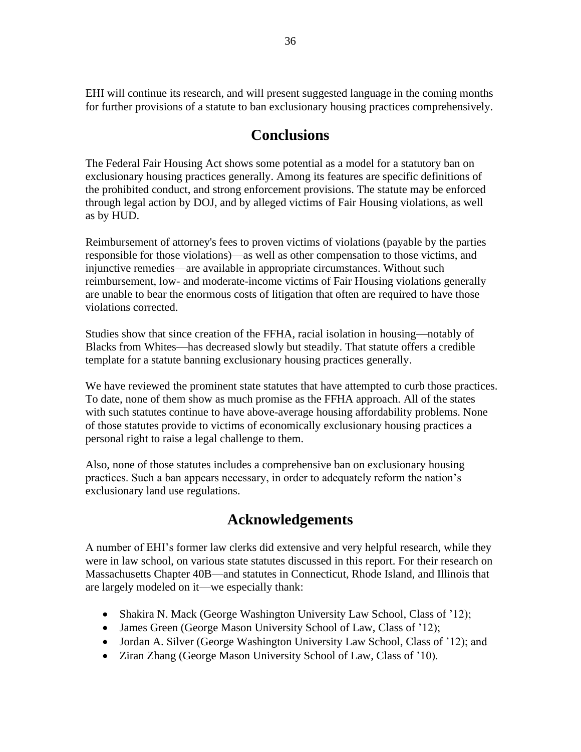EHI will continue its research, and will present suggested language in the coming months for further provisions of a statute to ban exclusionary housing practices comprehensively.

# **Conclusions**

The Federal Fair Housing Act shows some potential as a model for a statutory ban on exclusionary housing practices generally. Among its features are specific definitions of the prohibited conduct, and strong enforcement provisions. The statute may be enforced through legal action by DOJ, and by alleged victims of Fair Housing violations, as well as by HUD.

Reimbursement of attorney's fees to proven victims of violations (payable by the parties responsible for those violations)—as well as other compensation to those victims, and injunctive remedies—are available in appropriate circumstances. Without such reimbursement, low- and moderate-income victims of Fair Housing violations generally are unable to bear the enormous costs of litigation that often are required to have those violations corrected.

Studies show that since creation of the FFHA, racial isolation in housing—notably of Blacks from Whites—has decreased slowly but steadily. That statute offers a credible template for a statute banning exclusionary housing practices generally.

We have reviewed the prominent state statutes that have attempted to curb those practices. To date, none of them show as much promise as the FFHA approach. All of the states with such statutes continue to have above-average housing affordability problems. None of those statutes provide to victims of economically exclusionary housing practices a personal right to raise a legal challenge to them.

Also, none of those statutes includes a comprehensive ban on exclusionary housing practices. Such a ban appears necessary, in order to adequately reform the nation's exclusionary land use regulations.

# **Acknowledgements**

A number of EHI's former law clerks did extensive and very helpful research, while they were in law school, on various state statutes discussed in this report. For their research on Massachusetts Chapter 40B—and statutes in Connecticut, Rhode Island, and Illinois that are largely modeled on it—we especially thank:

- Shakira N. Mack (George Washington University Law School, Class of '12);
- James Green (George Mason University School of Law, Class of '12);
- Jordan A. Silver (George Washington University Law School, Class of '12); and
- Ziran Zhang (George Mason University School of Law, Class of '10).